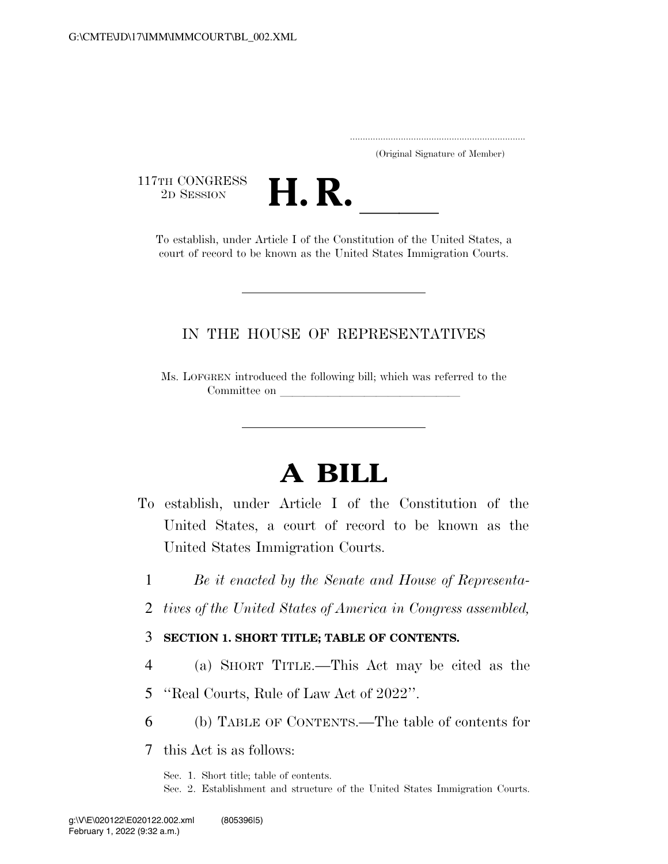.....................................................................

(Original Signature of Member)

117TH CONGRESS<br>2D SESSION



TH CONGRESS<br>
2D SESSION<br>
To establish, under Article I of the Constitution of the United States, a court of record to be known as the United States Immigration Courts.

### IN THE HOUSE OF REPRESENTATIVES

Ms. LOFGREN introduced the following bill; which was referred to the Committee on

# **A BILL**

- To establish, under Article I of the Constitution of the United States, a court of record to be known as the United States Immigration Courts.
	- 1 *Be it enacted by the Senate and House of Representa-*
	- 2 *tives of the United States of America in Congress assembled,*

### 3 **SECTION 1. SHORT TITLE; TABLE OF CONTENTS.**

- 4 (a) SHORT TITLE.—This Act may be cited as the
- 5 ''Real Courts, Rule of Law Act of 2022''.
- 6 (b) TABLE OF CONTENTS.—The table of contents for

7 this Act is as follows:

Sec. 1. Short title; table of contents.

Sec. 2. Establishment and structure of the United States Immigration Courts.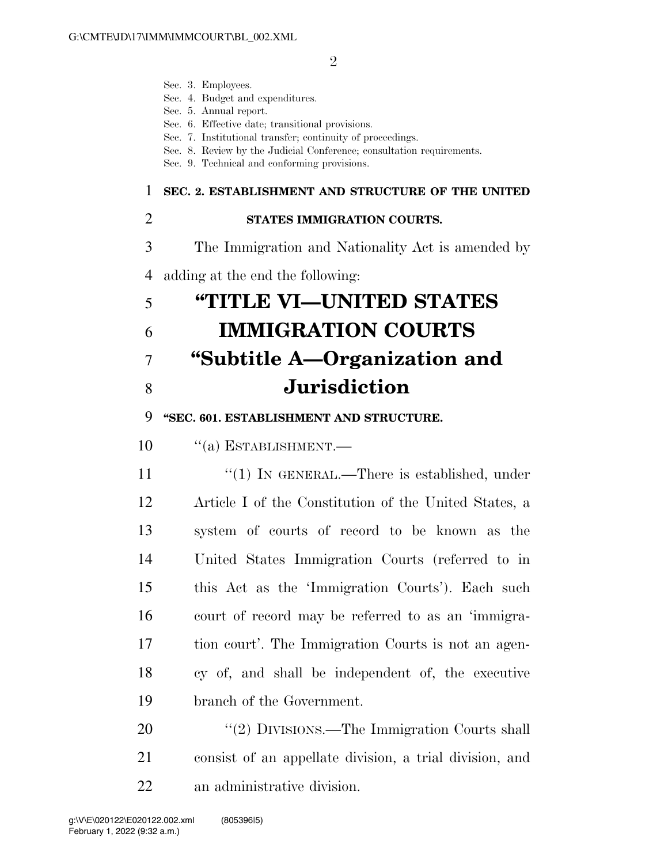|                | Sec. 3. Employees.<br>Sec. 4. Budget and expenditures.<br>Sec. 5. Annual report.<br>Sec. 6. Effective date; transitional provisions.<br>Sec. 7. Institutional transfer; continuity of proceedings.<br>Sec. 8. Review by the Judicial Conference; consultation requirements.<br>Sec. 9. Technical and conforming provisions. |
|----------------|-----------------------------------------------------------------------------------------------------------------------------------------------------------------------------------------------------------------------------------------------------------------------------------------------------------------------------|
| 1              | SEC. 2. ESTABLISHMENT AND STRUCTURE OF THE UNITED                                                                                                                                                                                                                                                                           |
| $\overline{2}$ | STATES IMMIGRATION COURTS.                                                                                                                                                                                                                                                                                                  |
| 3              | The Immigration and Nationality Act is amended by                                                                                                                                                                                                                                                                           |
| 4              | adding at the end the following:                                                                                                                                                                                                                                                                                            |
| 5              | "TITLE VI-UNITED STATES                                                                                                                                                                                                                                                                                                     |
| 6              | <b>IMMIGRATION COURTS</b>                                                                                                                                                                                                                                                                                                   |
| 7              | "Subtitle A—Organization and                                                                                                                                                                                                                                                                                                |
| 8              | <b>Jurisdiction</b>                                                                                                                                                                                                                                                                                                         |
| 9              | "SEC. 601. ESTABLISHMENT AND STRUCTURE.                                                                                                                                                                                                                                                                                     |
| 10             | $``(a)$ ESTABLISHMENT.—                                                                                                                                                                                                                                                                                                     |
| 11             | "(1) IN GENERAL.—There is established, under                                                                                                                                                                                                                                                                                |
| 12             | Article I of the Constitution of the United States, a                                                                                                                                                                                                                                                                       |
| 13             | system of courts of record to be known as the                                                                                                                                                                                                                                                                               |
| 14             | United States Immigration Courts (referred to in                                                                                                                                                                                                                                                                            |
| 15             | this Act as the 'Immigration Courts'). Each such                                                                                                                                                                                                                                                                            |
| 16             | court of record may be referred to as an 'immigra-                                                                                                                                                                                                                                                                          |
| 17             | tion court'. The Immigration Courts is not an agen-                                                                                                                                                                                                                                                                         |
| 18             | cy of, and shall be independent of, the executive                                                                                                                                                                                                                                                                           |
| 19             | branch of the Government.                                                                                                                                                                                                                                                                                                   |
| 20             | "(2) DIVISIONS.—The Immigration Courts shall                                                                                                                                                                                                                                                                                |
| 21             | consist of an appellate division, a trial division, and                                                                                                                                                                                                                                                                     |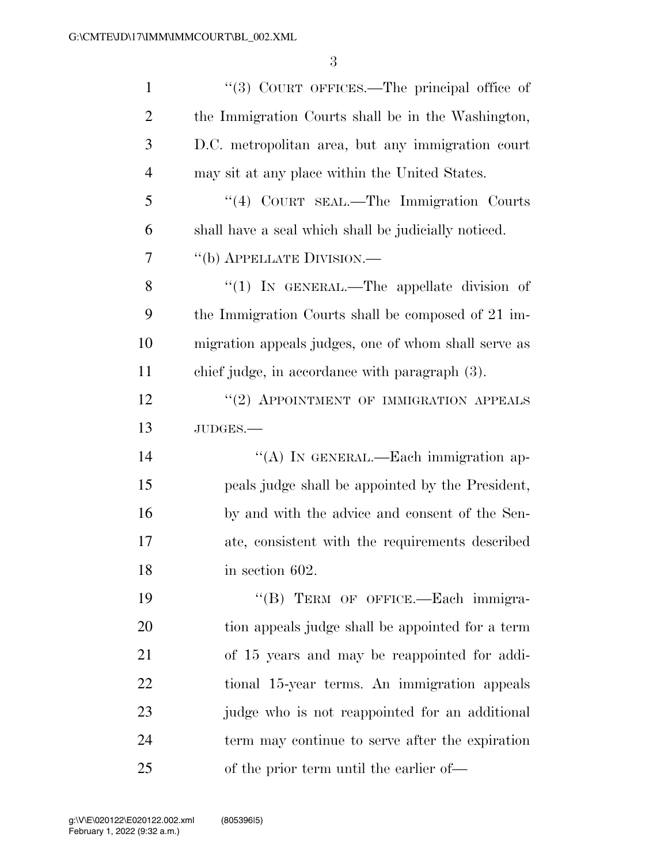| $\mathbf{1}$   | "(3) COURT OFFICES.—The principal office of          |
|----------------|------------------------------------------------------|
| $\overline{2}$ | the Immigration Courts shall be in the Washington,   |
| 3              | D.C. metropolitan area, but any immigration court    |
| $\overline{4}$ | may sit at any place within the United States.       |
| 5              | "(4) COURT SEAL.—The Immigration Courts              |
| 6              | shall have a seal which shall be judicially noticed. |
| 7              | "(b) APPELLATE DIVISION.—                            |
| 8              | "(1) IN GENERAL.—The appellate division of           |
| 9              | the Immigration Courts shall be composed of 21 im-   |
| 10             | migration appeals judges, one of whom shall serve as |
| 11             | chief judge, in accordance with paragraph (3).       |
| 12             | "(2) APPOINTMENT OF IMMIGRATION APPEALS              |
| 13             | JUDGES.-                                             |
| 14             | "(A) IN GENERAL.—Each immigration ap-                |
| 15             | peals judge shall be appointed by the President,     |
| 16             | by and with the advice and consent of the Sen-       |
| 17             | ate, consistent with the requirements described      |
| 18             | in section 602.                                      |
| 19             | "(B) TERM OF OFFICE.—Each immigra-                   |
| 20             | tion appeals judge shall be appointed for a term     |
| 21             | of 15 years and may be reappointed for addi-         |
| 22             | tional 15-year terms. An immigration appeals         |
| 23             | judge who is not reappointed for an additional       |
| 24             | term may continue to serve after the expiration      |
| 25             | of the prior term until the earlier of—              |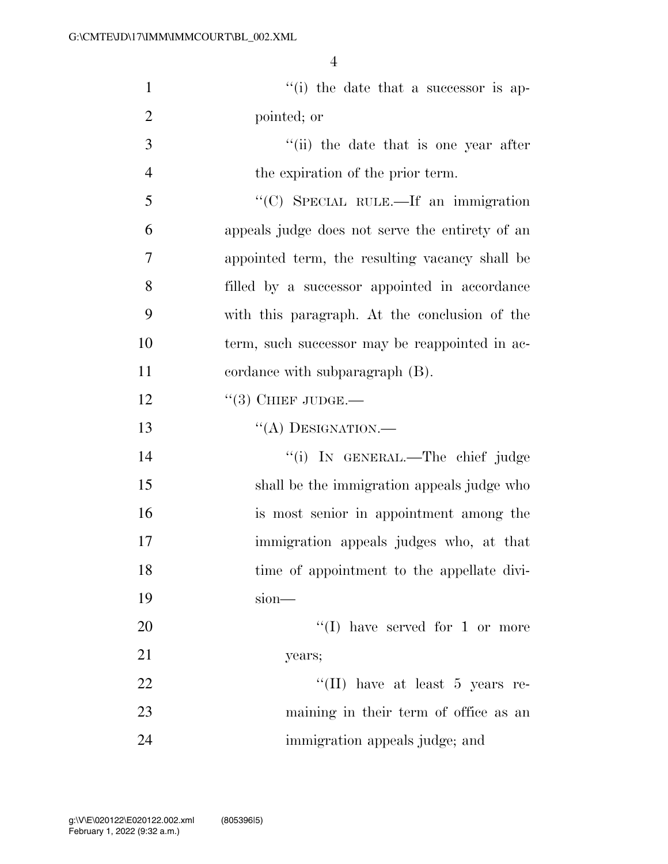| $\mathbf{1}$   | "(i) the date that a successor is ap-           |
|----------------|-------------------------------------------------|
| $\overline{2}$ | pointed; or                                     |
| 3              | "(ii) the date that is one year after           |
| $\overline{4}$ | the expiration of the prior term.               |
| 5              | "(C) SPECIAL RULE.—If an immigration            |
| 6              | appeals judge does not serve the entirety of an |
| 7              | appointed term, the resulting vacancy shall be  |
| 8              | filled by a successor appointed in accordance   |
| 9              | with this paragraph. At the conclusion of the   |
| 10             | term, such successor may be reappointed in ac-  |
| 11             | cordance with subparagraph (B).                 |
| 12             | $\lq(3)$ CHIEF JUDGE.—                          |
| 13             | "(A) DESIGNATION.—                              |
| 14             | "(i) IN GENERAL.—The chief judge                |
| 15             | shall be the immigration appeals judge who      |
| 16             | is most senior in appointment among the         |
| $17\,$         | immigration appeals judges who, at that         |
| 18             | time of appointment to the appellate divi-      |
| 19             | $sion$ —                                        |
| 20             | "(I) have served for 1 or more                  |
| 21             | years;                                          |
| 22             | "(II) have at least 5 years re-                 |
| 23             | maining in their term of office as an           |
| 24             | immigration appeals judge; and                  |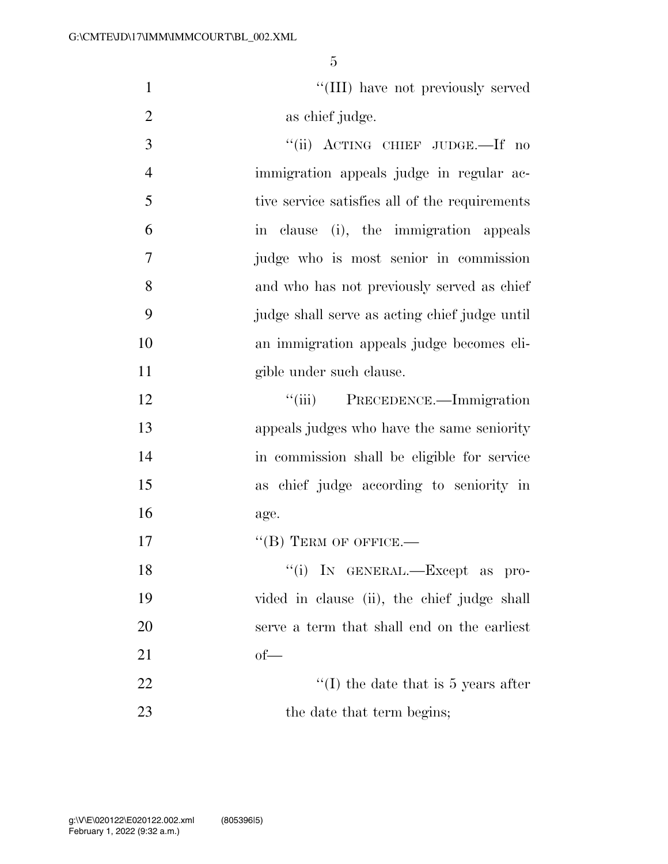1  $\frac{1}{1}$  ''(III) have not previously served 2 as chief judge.

3 "(ii) ACTING CHIEF JUDGE.—If no immigration appeals judge in regular ac- tive service satisfies all of the requirements in clause (i), the immigration appeals judge who is most senior in commission and who has not previously served as chief judge shall serve as acting chief judge until an immigration appeals judge becomes eli-gible under such clause.

12 ''(iii) PRECEDENCE.—Immigration appeals judges who have the same seniority in commission shall be eligible for service as chief judge according to seniority in age.

''(B) TERM OF OFFICE.—

| 18 | "(i) IN GENERAL.—Except as pro-             |
|----|---------------------------------------------|
| 19 | vided in clause (ii), the chief judge shall |
| 20 | serve a term that shall end on the earliest |
| 21 | $of$ —                                      |
| 22 | "(I) the date that is 5 years after         |

23 the date that term begins;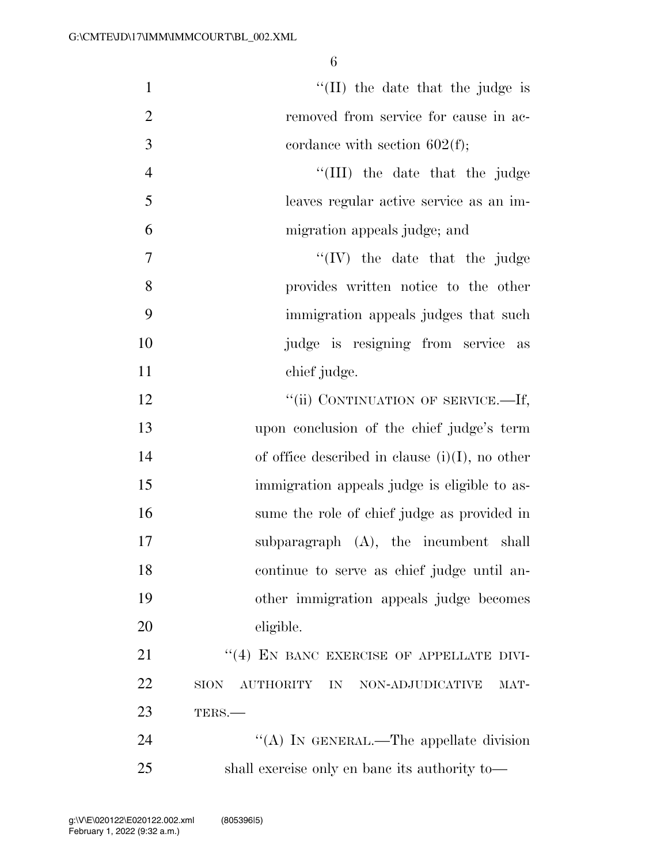| $\mathbf{1}$   | "(II) the date that the judge is                     |
|----------------|------------------------------------------------------|
| $\overline{2}$ | removed from service for cause in ac-                |
| 3              | cordance with section $602(f)$ ;                     |
| $\overline{4}$ | "(III) the date that the judge                       |
| 5              | leaves regular active service as an im-              |
| 6              | migration appeals judge; and                         |
| $\tau$         | $\lq\lq (IV)$ the date that the judge                |
| 8              | provides written notice to the other                 |
| 9              | immigration appeals judges that such                 |
| 10             | judge is resigning from service as                   |
| 11             | chief judge.                                         |
| 12             | "(ii) CONTINUATION OF SERVICE.—If,                   |
| 13             | upon conclusion of the chief judge's term            |
| 14             | of office described in clause $(i)(I)$ , no other    |
| 15             | immigration appeals judge is eligible to as-         |
| 16             | sume the role of chief judge as provided in          |
| 17             | subparagraph (A), the incumbent shall                |
| 18             | continue to serve as chief judge until an-           |
| 19             | other immigration appeals judge becomes              |
| 20             | eligible.                                            |
| 21             | "(4) EN BANC EXERCISE OF APPELLATE DIVI-             |
| 22             | AUTHORITY IN NON-ADJUDICATIVE<br><b>SION</b><br>MAT- |
| 23             | TERS.-                                               |
| 24             | "(A) IN GENERAL.—The appellate division              |
| 25             | shall exercise only en banc its authority to—        |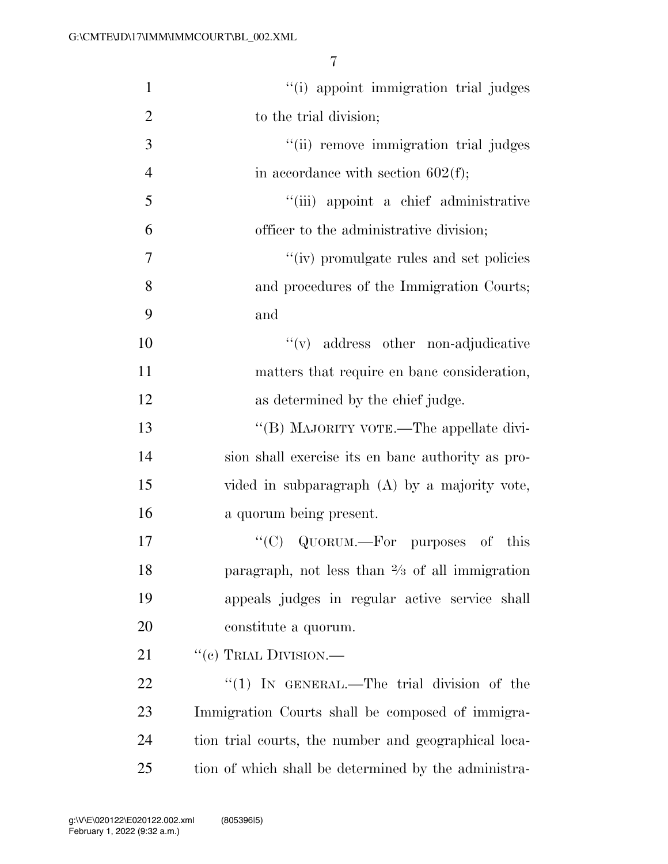| $\mathbf{1}$   | "(i) appoint immigration trial judges                     |
|----------------|-----------------------------------------------------------|
| $\overline{2}$ | to the trial division;                                    |
| 3              | "(ii) remove immigration trial judges                     |
| $\overline{4}$ | in accordance with section $602(f)$ ;                     |
| 5              | "(iii) appoint a chief administrative                     |
| 6              | officer to the administrative division;                   |
| 7              | "(iv) promulgate rules and set policies                   |
| 8              | and procedures of the Immigration Courts;                 |
| 9              | and                                                       |
| 10             | "(v) address other non-adjudicative                       |
| 11             | matters that require en banc consideration,               |
| 12             | as determined by the chief judge.                         |
| 13             | "(B) MAJORITY VOTE.—The appellate divi-                   |
| 14             | sion shall exercise its en banc authority as pro-         |
| 15             | vided in subparagraph $(A)$ by a majority vote,           |
| 16             | a quorum being present.                                   |
| 17             | "(C) QUORUM.—For purposes of<br>this                      |
| 18             | paragraph, not less than $\frac{2}{3}$ of all immigration |
| 19             | appeals judges in regular active service shall            |
| 20             | constitute a quorum.                                      |
| 21             | $``$ (c) TRIAL DIVISION.—                                 |
| 22             | "(1) IN GENERAL.—The trial division of the                |
| 23             | Immigration Courts shall be composed of immigra-          |
| 24             | tion trial courts, the number and geographical loca-      |
| 25             | tion of which shall be determined by the administra-      |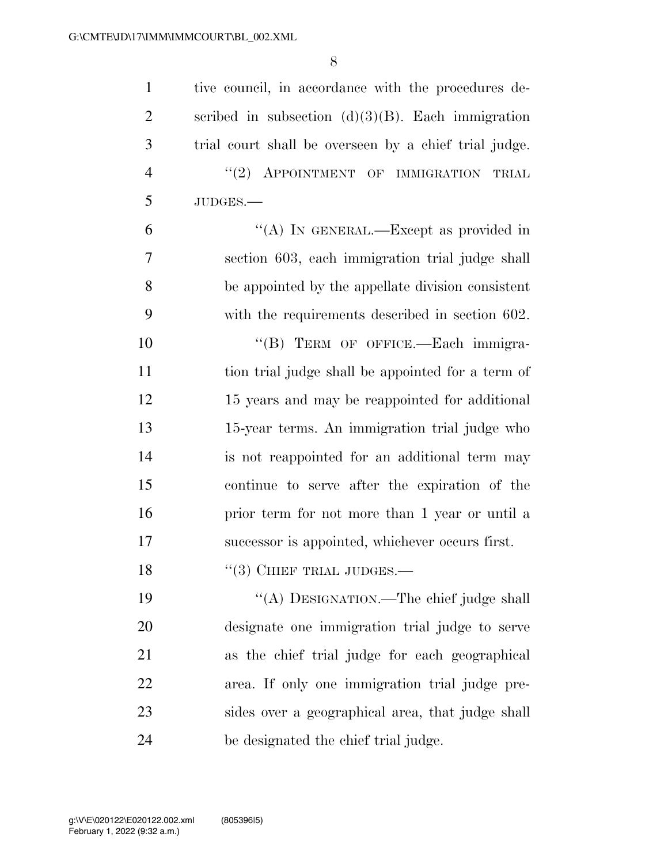| $\mathbf{1}$   | tive council, in accordance with the procedures de-   |
|----------------|-------------------------------------------------------|
| $\overline{2}$ | scribed in subsection $(d)(3)(B)$ . Each immigration  |
| 3              | trial court shall be overseen by a chief trial judge. |
| $\overline{4}$ | $"(2)$ APPOINTMENT OF IMMIGRATION<br>TRIAL            |
| 5              | JUDGES.-                                              |
| 6              | "(A) IN GENERAL.—Except as provided in                |
| 7              | section 603, each immigration trial judge shall       |
| 8              | be appointed by the appellate division consistent     |
| 9              | with the requirements described in section 602.       |
| 10             | "(B) TERM OF OFFICE.-Each immigra-                    |
| 11             | tion trial judge shall be appointed for a term of     |
| 12             | 15 years and may be reappointed for additional        |
| 13             | 15-year terms. An immigration trial judge who         |
| 14             | is not reappointed for an additional term may         |
| 15             | continue to serve after the expiration of the         |
| 16             | prior term for not more than 1 year or until a        |
| 17             | successor is appointed, whichever occurs first.       |
| 18             | $``(3)$ CHIEF TRIAL JUDGES.—                          |
| 19             | "(A) DESIGNATION.—The chief judge shall               |
| 20             | designate one immigration trial judge to serve        |
| 21             | as the chief trial judge for each geographical        |
| 22             | area. If only one immigration trial judge pre-        |
| 23             | sides over a geographical area, that judge shall      |
| 24             | be designated the chief trial judge.                  |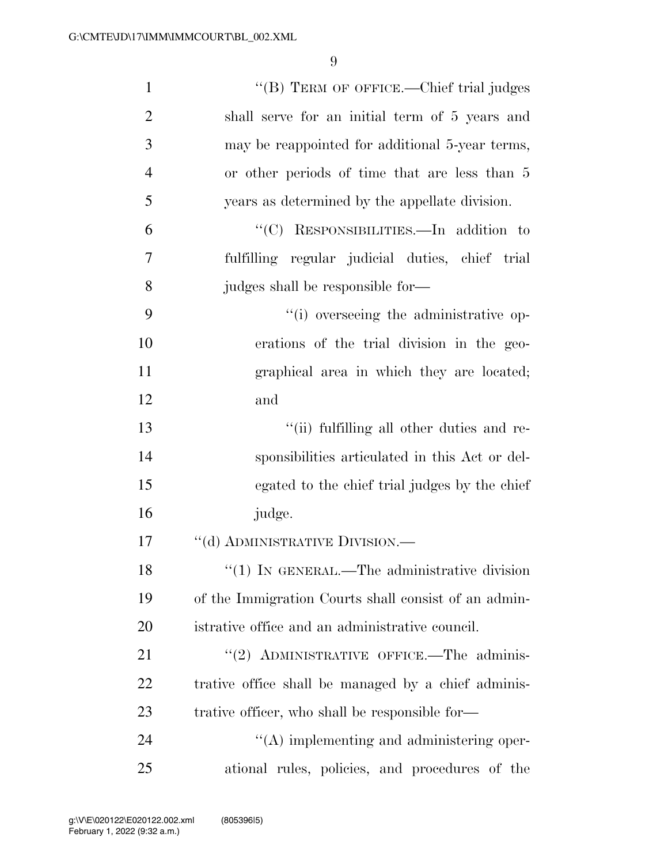| $\mathbf{1}$   | "(B) TERM OF OFFICE.—Chief trial judges              |
|----------------|------------------------------------------------------|
| $\overline{2}$ | shall serve for an initial term of 5 years and       |
| 3              | may be reappointed for additional 5-year terms,      |
| $\overline{4}$ | or other periods of time that are less than 5        |
| 5              | years as determined by the appellate division.       |
| 6              | "(C) RESPONSIBILITIES.—In addition to                |
| 7              | fulfilling regular judicial duties, chief trial      |
| 8              | judges shall be responsible for—                     |
| 9              | "(i) overseeing the administrative op-               |
| 10             | erations of the trial division in the geo-           |
| 11             | graphical area in which they are located;            |
| 12             | and                                                  |
| 13             | "(ii) fulfilling all other duties and re-            |
| 14             | sponsibilities articulated in this Act or del-       |
| 15             | egated to the chief trial judges by the chief        |
| 16             | judge.                                               |
| 17             | "(d) ADMINISTRATIVE DIVISION.—                       |
| 18             | $\lq(1)$ In GENERAL.—The administrative division     |
| 19             | of the Immigration Courts shall consist of an admin- |
| 20             | istrative office and an administrative council.      |
| 21             | "(2) ADMINISTRATIVE OFFICE.—The adminis-             |
| 22             | trative office shall be managed by a chief adminis-  |
| 23             | trative officer, who shall be responsible for-       |
| 24             | $\lq\lq$ implementing and administering oper-        |
| 25             | ational rules, policies, and procedures of the       |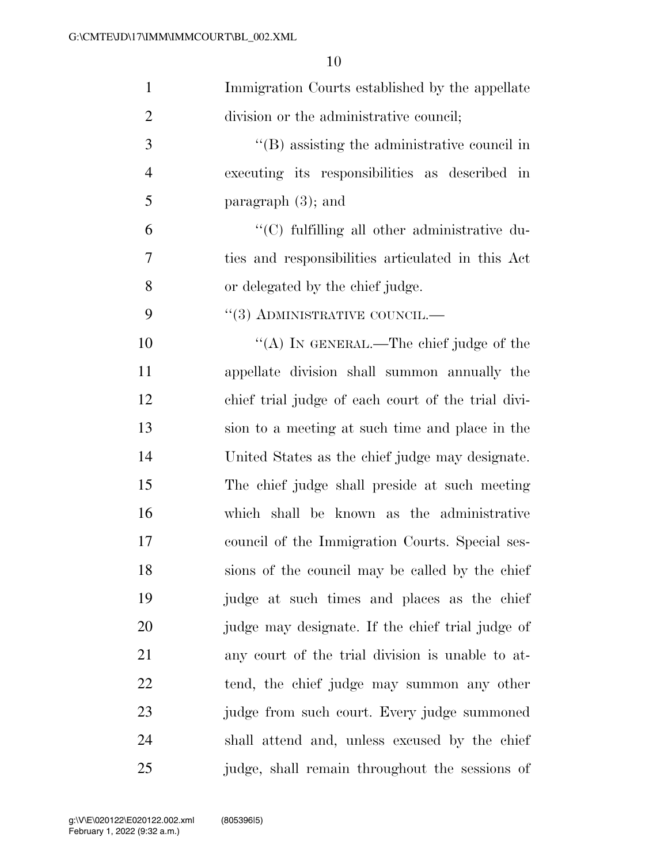| $\mathbf{1}$   | Immigration Courts established by the appellate    |
|----------------|----------------------------------------------------|
| $\overline{2}$ | division or the administrative council;            |
| 3              | $\lq\lq$ assisting the administrative council in   |
| $\overline{4}$ | executing its responsibilities as described in     |
| 5              | paragraph $(3)$ ; and                              |
| 6              | "(C) fulfilling all other administrative du-       |
| $\overline{7}$ | ties and responsibilities articulated in this Act  |
| 8              | or delegated by the chief judge.                   |
| 9              | $``(3)$ ADMINISTRATIVE COUNCIL.—                   |
| 10             | "(A) IN GENERAL.—The chief judge of the            |
| 11             | appellate division shall summon annually the       |
| 12             | chief trial judge of each court of the trial divi- |
| 13             | sion to a meeting at such time and place in the    |
| 14             | United States as the chief judge may designate.    |
| 15             | The chief judge shall preside at such meeting      |
| 16             | which shall be known as the administrative         |
| 17             | council of the Immigration Courts. Special ses-    |
| 18             | sions of the council may be called by the chief    |
| 19             | judge at such times and places as the chief        |
| 20             | judge may designate. If the chief trial judge of   |
| 21             | any court of the trial division is unable to at-   |
| 22             | tend, the chief judge may summon any other         |
| 23             | judge from such court. Every judge summoned        |
| 24             | shall attend and, unless excused by the chief      |
| 25             | judge, shall remain throughout the sessions of     |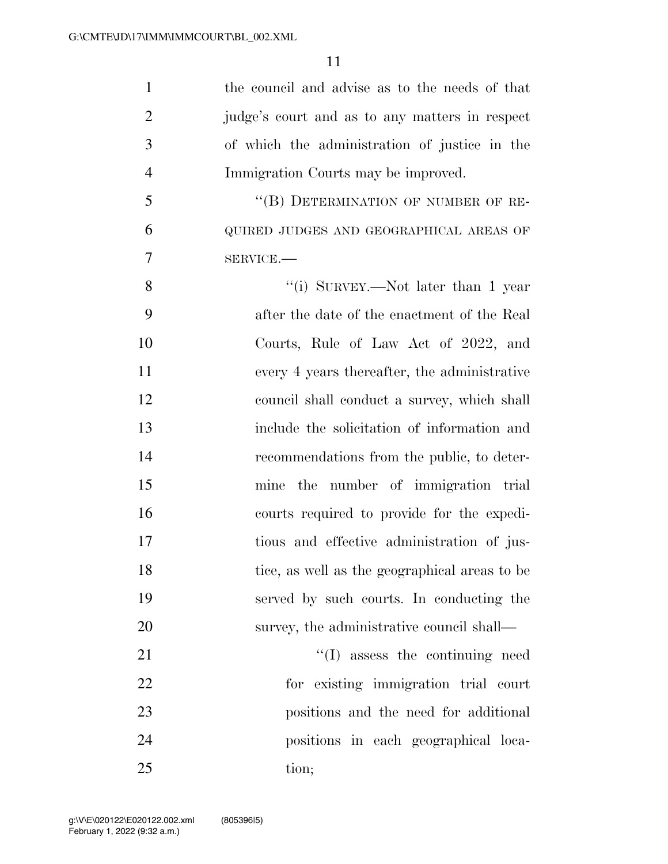| $\mathbf{1}$   | the council and advise as to the needs of that |
|----------------|------------------------------------------------|
| $\overline{2}$ | judge's court and as to any matters in respect |
| 3              | of which the administration of justice in the  |
| $\overline{4}$ | Immigration Courts may be improved.            |
| 5              | "(B) DETERMINATION OF NUMBER OF RE-            |
| 6              | QUIRED JUDGES AND GEOGRAPHICAL AREAS OF        |
| 7              | SERVICE.                                       |
| 8              | "(i) SURVEY.—Not later than 1 year             |
| 9              | after the date of the enactment of the Real    |
| 10             | Courts, Rule of Law Act of 2022, and           |
| 11             | every 4 years thereafter, the administrative   |
| 12             | council shall conduct a survey, which shall    |
| 13             | include the solicitation of information and    |
| 14             | recommendations from the public, to deter-     |
| 15             | mine the number of immigration trial           |
| 16             | courts required to provide for the expedi-     |
| 17             | tious and effective administration of jus-     |
| 18             | tice, as well as the geographical areas to be  |
| 19             | served by such courts. In conducting the       |
| 20             | survey, the administrative council shall—      |
| 21             | $\lq\lq$ assess the continuing need            |
| 22             | for existing immigration trial court           |
| 23             | positions and the need for additional          |
| 24             | positions in each geographical loca-           |
| 25             | tion;                                          |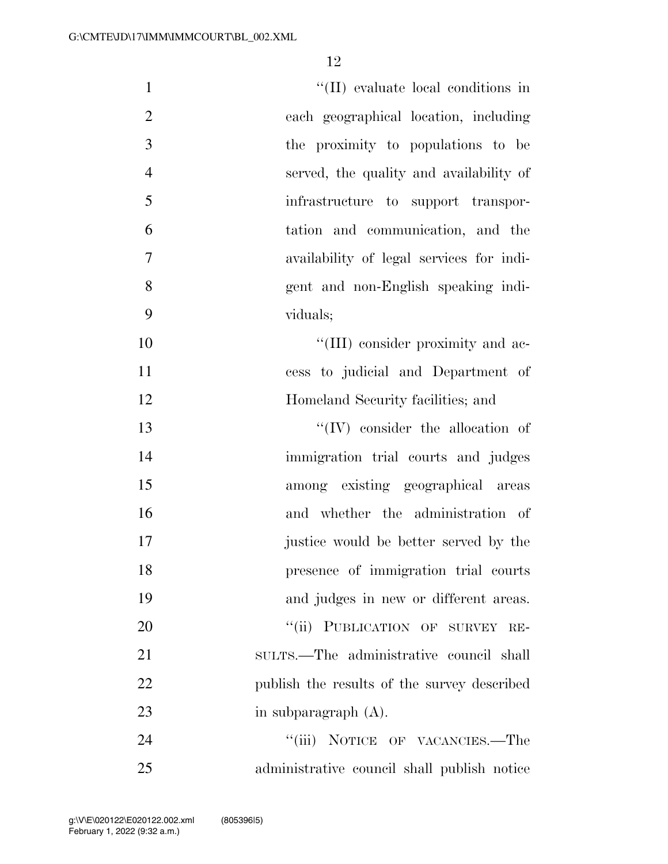| $\mathbf{1}$   | "(II) evaluate local conditions in          |
|----------------|---------------------------------------------|
| $\mathfrak{2}$ | each geographical location, including       |
| 3              | the proximity to populations to be          |
| $\overline{4}$ | served, the quality and availability of     |
| 5              | infrastructure to support transpor-         |
| 6              | tation and communication, and the           |
| 7              | availability of legal services for indi-    |
| 8              | gent and non-English speaking indi-         |
| 9              | viduals;                                    |
| 10             | "(III) consider proximity and ac-           |
| 11             | cess to judicial and Department of          |
| 12             | Homeland Security facilities; and           |
| 13             | $``(IV)$ consider the allocation of         |
| 14             | immigration trial courts and judges         |
| 15             | among existing geographical areas           |
| 16             | and whether the administration of           |
| 17             | justice would be better served by the       |
| 18             | presence of immigration trial courts        |
| 19             | and judges in new or different areas.       |
| 20             | "(ii) PUBLICATION OF SURVEY RE-             |
| 21             | sultrs.—The administrative council shall    |
| 22             | publish the results of the survey described |
| 23             | in subparagraph $(A)$ .                     |
| 24             | "(iii) NOTICE OF VACANCIES.—The             |
| $25\,$         | administrative council shall publish notice |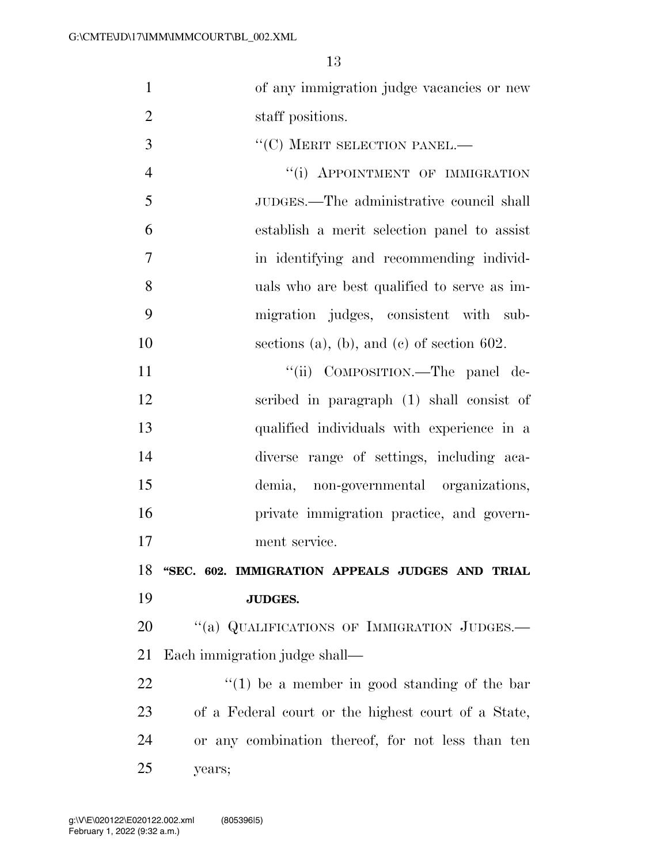| $\mathbf{1}$   | of any immigration judge vacancies or new           |
|----------------|-----------------------------------------------------|
| $\overline{2}$ | staff positions.                                    |
| 3              | $``$ (C) MERIT SELECTION PANEL.—                    |
| $\overline{4}$ | "(i) APPOINTMENT OF IMMIGRATION                     |
| 5              | JUDGES.—The administrative council shall            |
| 6              | establish a merit selection panel to assist         |
| 7              | in identifying and recommending individ-            |
| 8              | uals who are best qualified to serve as im-         |
| 9              | migration judges, consistent with sub-              |
| 10             | sections (a), (b), and (c) of section $602$ .       |
| 11             | "(ii) COMPOSITION.—The panel de-                    |
| 12             | scribed in paragraph (1) shall consist of           |
| 13             | qualified individuals with experience in a          |
| 14             | diverse range of settings, including aca-           |
| 15             | demia, non-governmental organizations,              |
| 16             | private immigration practice, and govern-           |
| 17             | ment service.                                       |
| 18             | "SEC. 602. IMMIGRATION APPEALS JUDGES AND TRIAL     |
| 19             | <b>JUDGES.</b>                                      |
| 20             | "(a) QUALIFICATIONS OF IMMIGRATION JUDGES.-         |
| 21             | Each immigration judge shall—                       |
| 22             | $f''(1)$ be a member in good standing of the bar    |
| 23             | of a Federal court or the highest court of a State, |
| 24             | or any combination thereof, for not less than ten   |
| 25             | years;                                              |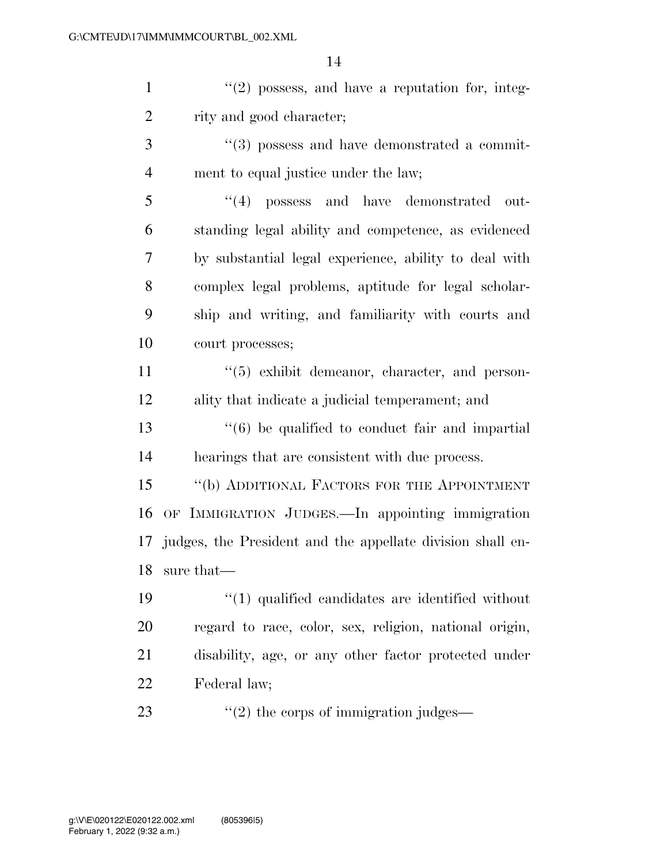$\frac{1}{2}$  ''(2) possess, and have a reputation for, integ- rity and good character; 3 ''(3) possess and have demonstrated a commit-

ment to equal justice under the law;

5 "(4) possess and have demonstrated out- standing legal ability and competence, as evidenced by substantial legal experience, ability to deal with complex legal problems, aptitude for legal scholar- ship and writing, and familiarity with courts and court processes;

11  $\frac{1}{5}$  exhibit demeanor, character, and person-ality that indicate a judicial temperament; and

 ''(6) be qualified to conduct fair and impartial hearings that are consistent with due process.

 ''(b) ADDITIONAL FACTORS FOR THE APPOINTMENT OF IMMIGRATION JUDGES.—In appointing immigration judges, the President and the appellate division shall en-sure that—

 $\frac{1}{2}$  (1) qualified candidates are identified without regard to race, color, sex, religion, national origin, disability, age, or any other factor protected under Federal law;

23  $\frac{1}{2}$   $\frac{1}{2}$  the corps of immigration judges—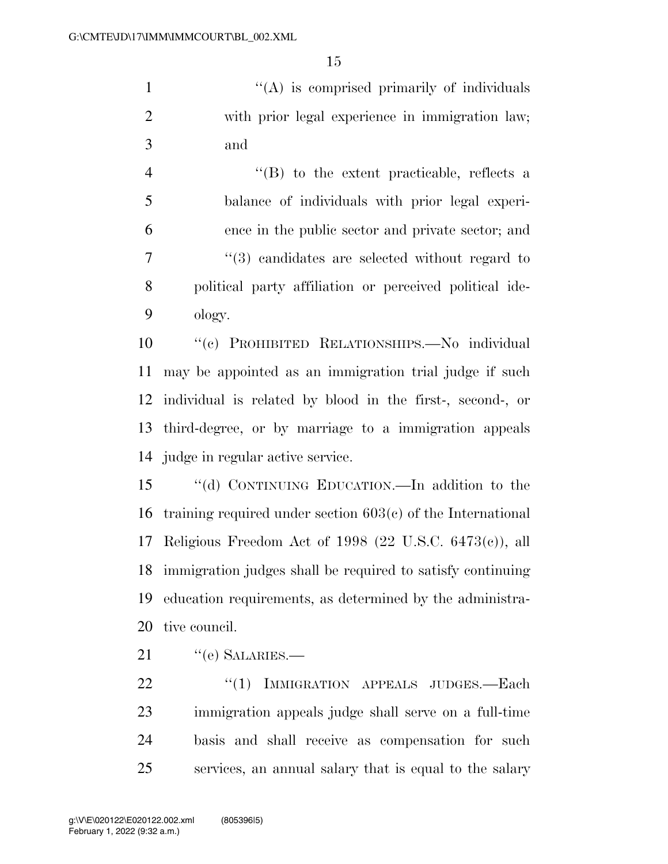1 ''(A) is comprised primarily of individuals with prior legal experience in immigration law; and

 ''(B) to the extent practicable, reflects a balance of individuals with prior legal experi- ence in the public sector and private sector; and ''(3) candidates are selected without regard to political party affiliation or perceived political ide-ology.

 ''(c) PROHIBITED RELATIONSHIPS.—No individual may be appointed as an immigration trial judge if such individual is related by blood in the first-, second-, or third-degree, or by marriage to a immigration appeals judge in regular active service.

 ''(d) CONTINUING EDUCATION.—In addition to the training required under section 603(c) of the International Religious Freedom Act of 1998 (22 U.S.C. 6473(c)), all immigration judges shall be required to satisfy continuing education requirements, as determined by the administra-tive council.

21 "(e) SALARIES.—

22 "(1) IMMIGRATION APPEALS JUDGES.—Each immigration appeals judge shall serve on a full-time basis and shall receive as compensation for such services, an annual salary that is equal to the salary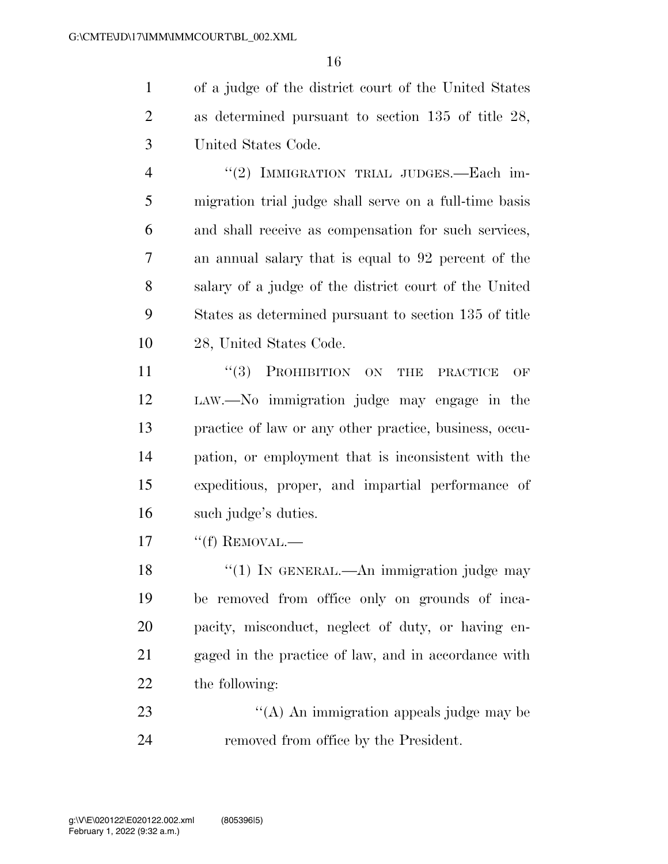of a judge of the district court of the United States as determined pursuant to section 135 of title 28, United States Code.

4 "(2) IMMIGRATION TRIAL JUDGES.—Each im- migration trial judge shall serve on a full-time basis and shall receive as compensation for such services, an annual salary that is equal to 92 percent of the salary of a judge of the district court of the United States as determined pursuant to section 135 of title 28, United States Code.

11 ''(3) PROHIBITION ON THE PRACTICE OF LAW.—No immigration judge may engage in the practice of law or any other practice, business, occu- pation, or employment that is inconsistent with the expeditious, proper, and impartial performance of such judge's duties.

17 <sup>"</sup>(f) REMOVAL.—

18 "(1) IN GENERAL.—An immigration judge may be removed from office only on grounds of inca- pacity, misconduct, neglect of duty, or having en- gaged in the practice of law, and in accordance with the following:

23 ''(A) An immigration appeals judge may be removed from office by the President.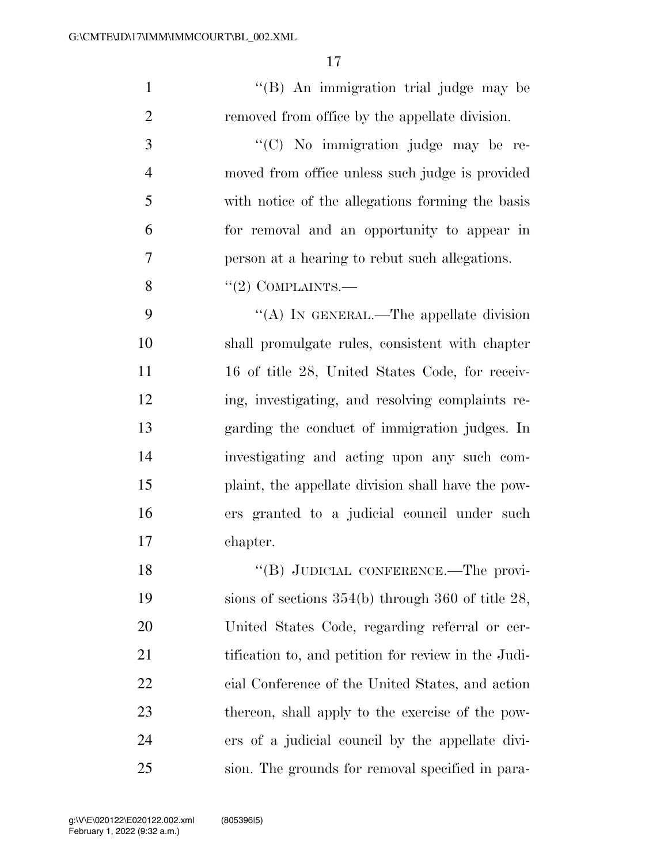1 ''(B) An immigration trial judge may be removed from office by the appellate division. 3  $\cdot$  (C) No immigration judge may be re-

 moved from office unless such judge is provided with notice of the allegations forming the basis for removal and an opportunity to appear in person at a hearing to rebut such allegations.

8  $"(2)$  COMPLAINTS.—

9 "(A) In GENERAL.—The appellate division shall promulgate rules, consistent with chapter 11 16 of title 28, United States Code, for receiv- ing, investigating, and resolving complaints re- garding the conduct of immigration judges. In investigating and acting upon any such com- plaint, the appellate division shall have the pow- ers granted to a judicial council under such chapter.

18 "(B) JUDICIAL CONFERENCE.—The provi- sions of sections 354(b) through 360 of title 28, United States Code, regarding referral or cer- tification to, and petition for review in the Judi- cial Conference of the United States, and action thereon, shall apply to the exercise of the pow- ers of a judicial council by the appellate divi-sion. The grounds for removal specified in para-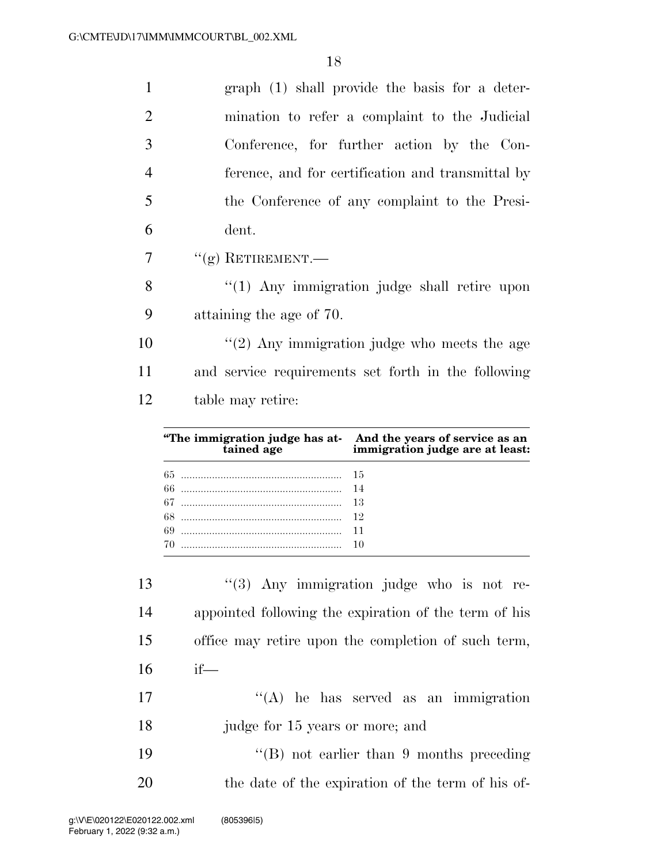| $\mathbf{1}$   | graph (1) shall provide the basis for a deter-      |
|----------------|-----------------------------------------------------|
| 2              | mination to refer a complaint to the Judicial       |
| 3              | Conference, for further action by the Con-          |
| $\overline{4}$ | ference, and for certification and transmittal by   |
| 5              | the Conference of any complaint to the Presi-       |
| 6              | dent.                                               |
| 7              | $``(g)$ RETIREMENT.—                                |
| 8              | "(1) Any immigration judge shall retire upon        |
| 9              | attaining the age of 70.                            |
| 10             | $"(2)$ Any immigration judge who meets the age      |
| 11             | and service requirements set forth in the following |
| 12             | table may retire:                                   |
|                |                                                     |

| "The immigration judge has at-<br>tained age immigration judge are at least: |
|------------------------------------------------------------------------------|
|                                                                              |
|                                                                              |
|                                                                              |
|                                                                              |
|                                                                              |
|                                                                              |

| 14<br>15<br>16<br>$if$ —<br>17<br>18<br>judge for 15 years or more; and<br>19<br>20 | 13 | $(3)$ Any immigration judge who is not re-            |
|-------------------------------------------------------------------------------------|----|-------------------------------------------------------|
|                                                                                     |    | appointed following the expiration of the term of his |
|                                                                                     |    | office may retire upon the completion of such term,   |
|                                                                                     |    |                                                       |
|                                                                                     |    | $\lq\lq$ he has served as an immigration              |
|                                                                                     |    |                                                       |
|                                                                                     |    | $\lq\lq (B)$ not earlier than 9 months preceding      |
|                                                                                     |    | the date of the expiration of the term of his of-     |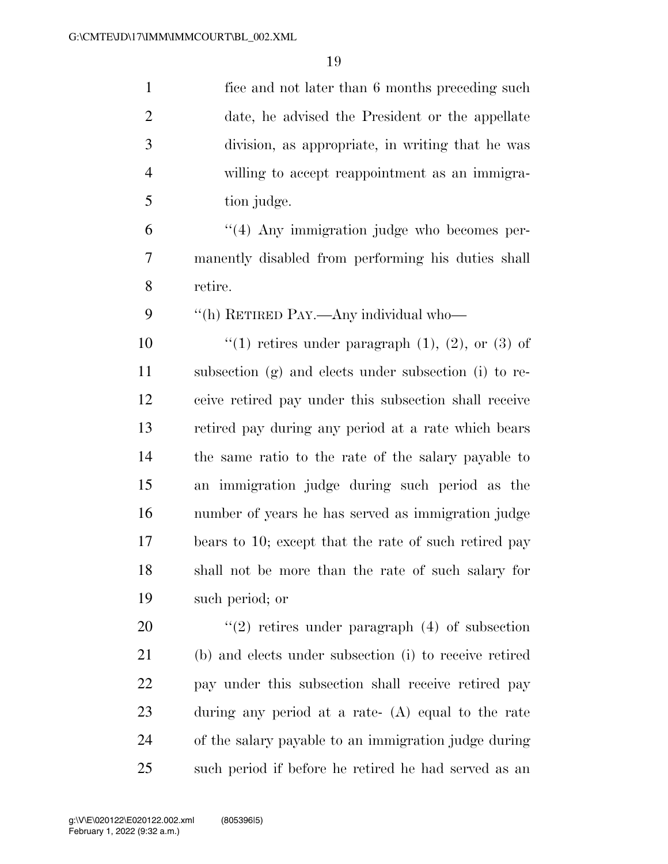| $\mathbf{1}$   | fice and not later than 6 months preceding such          |
|----------------|----------------------------------------------------------|
| $\overline{2}$ | date, he advised the President or the appellate          |
| 3              | division, as appropriate, in writing that he was         |
| $\overline{4}$ | willing to accept reappointment as an immigra-           |
| 5              | tion judge.                                              |
| 6              | $\lq(4)$ Any immigration judge who becomes per-          |
| 7              | manently disabled from performing his duties shall       |
| 8              | retire.                                                  |
| 9              | "(h) RETIRED PAY.—Any individual who—                    |
| 10             | "(1) retires under paragraph $(1)$ , $(2)$ , or $(3)$ of |
| 11             | subsection (g) and elects under subsection (i) to re-    |
| 12             | ceive retired pay under this subsection shall receive    |
| 13             | retired pay during any period at a rate which bears      |
| 14             | the same ratio to the rate of the salary payable to      |
| 15             | an immigration judge during such period as the           |
| 16             | number of years he has served as immigration judge       |
| 17             | bears to 10; except that the rate of such retired pay    |
| 18             | shall not be more than the rate of such salary for       |
| 19             | such period; or                                          |
| 20             | $(2)$ retires under paragraph $(4)$ of subsection        |
| 21             | (b) and elects under subsection (i) to receive retired   |
| 22             | pay under this subsection shall receive retired pay      |
| 23             | during any period at a rate- $(A)$ equal to the rate     |
| 24             | of the salary payable to an immigration judge during     |
| 25             | such period if before he retired he had served as an     |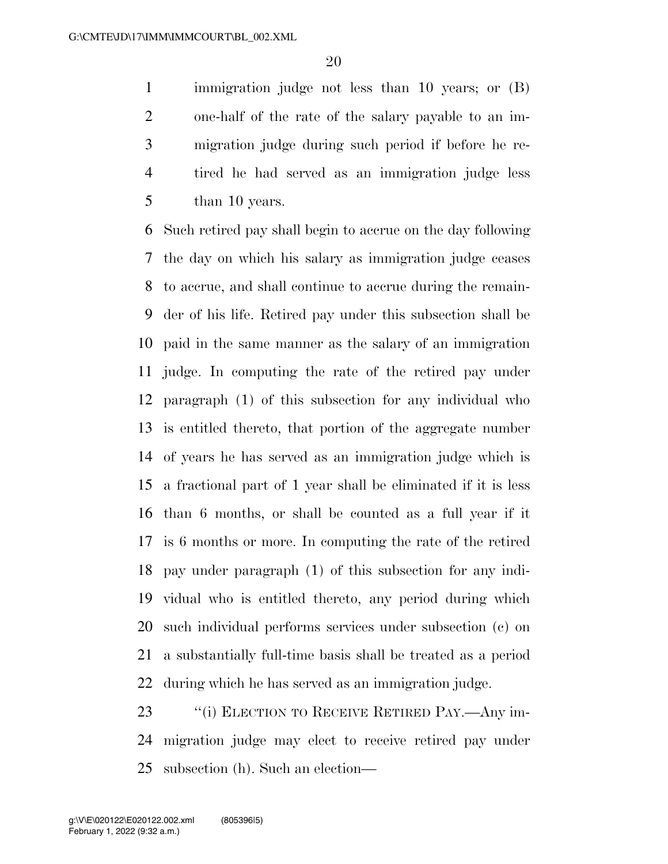immigration judge not less than 10 years; or (B) one-half of the rate of the salary payable to an im- migration judge during such period if before he re- tired he had served as an immigration judge less than 10 years.

 Such retired pay shall begin to accrue on the day following the day on which his salary as immigration judge ceases to accrue, and shall continue to accrue during the remain- der of his life. Retired pay under this subsection shall be paid in the same manner as the salary of an immigration judge. In computing the rate of the retired pay under paragraph (1) of this subsection for any individual who is entitled thereto, that portion of the aggregate number of years he has served as an immigration judge which is a fractional part of 1 year shall be eliminated if it is less than 6 months, or shall be counted as a full year if it is 6 months or more. In computing the rate of the retired pay under paragraph (1) of this subsection for any indi- vidual who is entitled thereto, any period during which such individual performs services under subsection (c) on a substantially full-time basis shall be treated as a period during which he has served as an immigration judge.

23 "(i) ELECTION TO RECEIVE RETIRED PAY.—Any im- migration judge may elect to receive retired pay under subsection (h). Such an election—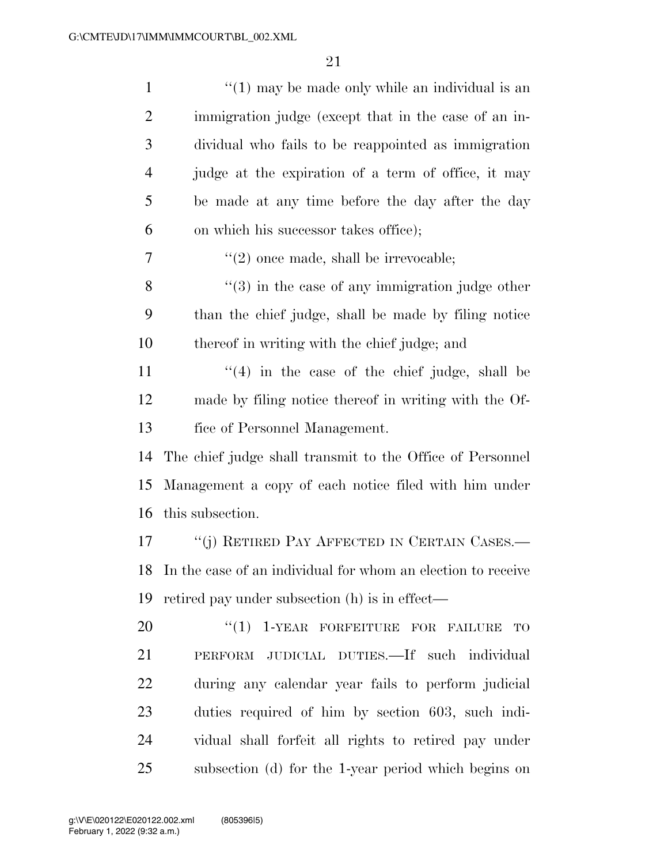| $\mathbf{1}$   | $\lq(1)$ may be made only while an individual is an          |
|----------------|--------------------------------------------------------------|
| $\overline{c}$ | immigration judge (except that in the case of an in-         |
| 3              | dividual who fails to be reappointed as immigration          |
| $\overline{4}$ | judge at the expiration of a term of office, it may          |
| 5              | be made at any time before the day after the day             |
| 6              | on which his successor takes office);                        |
| 7              | $\lq(2)$ once made, shall be irrevocable;                    |
| 8              | $"(3)$ in the case of any immigration judge other            |
| 9              | than the chief judge, shall be made by filing notice         |
| 10             | thereof in writing with the chief judge; and                 |
| 11             | $f'(4)$ in the case of the chief judge, shall be             |
| 12             | made by filing notice thereof in writing with the Of-        |
| 13             | fice of Personnel Management.                                |
| 14             | The chief judge shall transmit to the Office of Personnel    |
| 15             | Management a copy of each notice filed with him under        |
| 16             | this subsection.                                             |
| 17             | "(j) RETIRED PAY AFFECTED IN CERTAIN CASES.—                 |
| 18             | In the case of an individual for whom an election to receive |
| 19             | retired pay under subsection (h) is in effect—               |
| 20             | "(1) 1-YEAR FORFEITURE FOR FAILURE<br><b>TO</b>              |
| 21             | PERFORM JUDICIAL DUTIES.—If such individual                  |
| 22             | during any calendar year fails to perform judicial           |
| 23             | duties required of him by section 603, such indi-            |
| 24             | vidual shall forfeit all rights to retired pay under         |
| 25             | subsection (d) for the 1-year period which begins on         |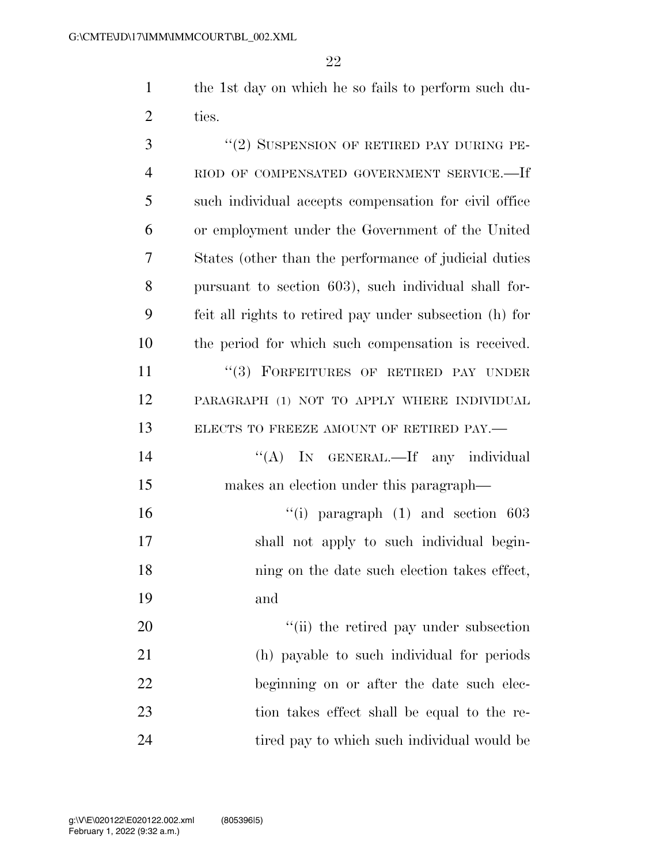the 1st day on which he so fails to perform such du-ties.

| 3              | "(2) SUSPENSION OF RETIRED PAY DURING PE-               |
|----------------|---------------------------------------------------------|
| $\overline{4}$ | RIOD OF COMPENSATED GOVERNMENT SERVICE.-If              |
| 5              | such individual accepts compensation for civil office   |
| 6              | or employment under the Government of the United        |
| 7              | States (other than the performance of judicial duties   |
| 8              | pursuant to section 603), such individual shall for-    |
| 9              | feit all rights to retired pay under subsection (h) for |
| 10             | the period for which such compensation is received.     |
| 11             | "(3) FORFEITURES OF RETIRED PAY UNDER                   |
| 12             | PARAGRAPH (1) NOT TO APPLY WHERE INDIVIDUAL             |
| 13             | ELECTS TO FREEZE AMOUNT OF RETIRED PAY.-                |
| 14             | "(A) IN GENERAL.—If any individual                      |
| 15             | makes an election under this paragraph—                 |
| 16             | "(i) paragraph $(1)$ and section 603                    |
| 17             | shall not apply to such individual begin-               |
| 18             | ning on the date such election takes effect,            |
| 19             | and                                                     |
| 20             | "(ii) the retired pay under subsection                  |
| 21             | (h) payable to such individual for periods              |
| 22             | beginning on or after the date such elec-               |
| 23             | tion takes effect shall be equal to the re-             |
| 24             | tired pay to which such individual would be             |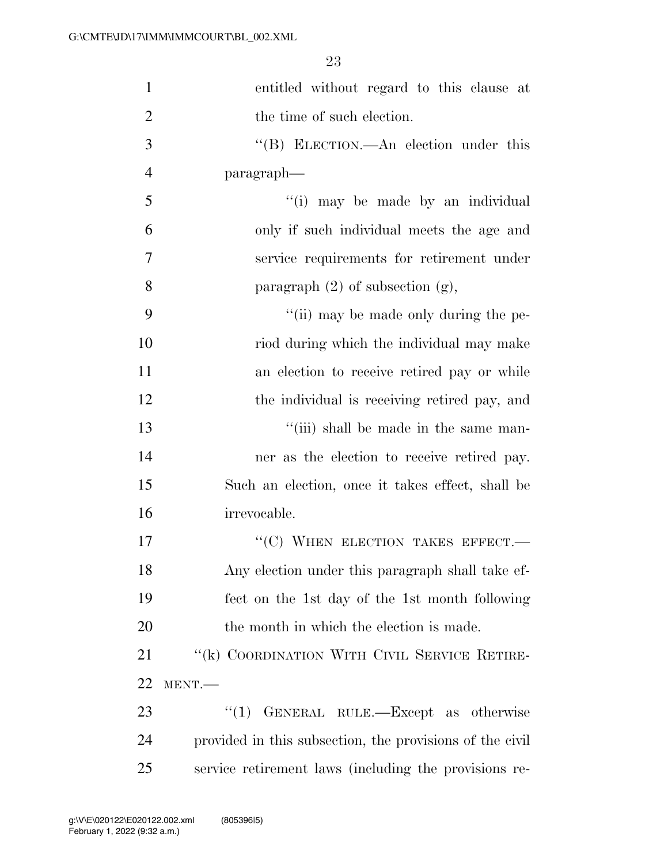| $\mathbf{1}$   | entitled without regard to this clause at                |
|----------------|----------------------------------------------------------|
| $\overline{2}$ | the time of such election.                               |
| 3              | "(B) ELECTION.—An election under this                    |
| 4              | paragraph—                                               |
| 5              | "(i) may be made by an individual                        |
| 6              | only if such individual meets the age and                |
| 7              | service requirements for retirement under                |
| 8              | paragraph $(2)$ of subsection $(g)$ ,                    |
| 9              | "(ii) may be made only during the pe-                    |
| 10             | riod during which the individual may make                |
| 11             | an election to receive retired pay or while              |
| 12             | the individual is receiving retired pay, and             |
| 13             | "(iii) shall be made in the same man-                    |
| 14             | ner as the election to receive retired pay.              |
| 15             | Such an election, once it takes effect, shall be         |
| 16             | irrevocable.                                             |
| 17             | "(C) WHEN ELECTION TAKES EFFECT.-                        |
| 18             | Any election under this paragraph shall take ef-         |
| 19             | fect on the 1st day of the 1st month following           |
| 20             | the month in which the election is made.                 |
| 21             | "(k) COORDINATION WITH CIVIL SERVICE RETIRE-             |
| 22             | MENT.-                                                   |
| 23             | GENERAL RULE.-Except as otherwise<br>``(1)               |
| 24             | provided in this subsection, the provisions of the civil |
| 25             | service retirement laws (including the provisions re-    |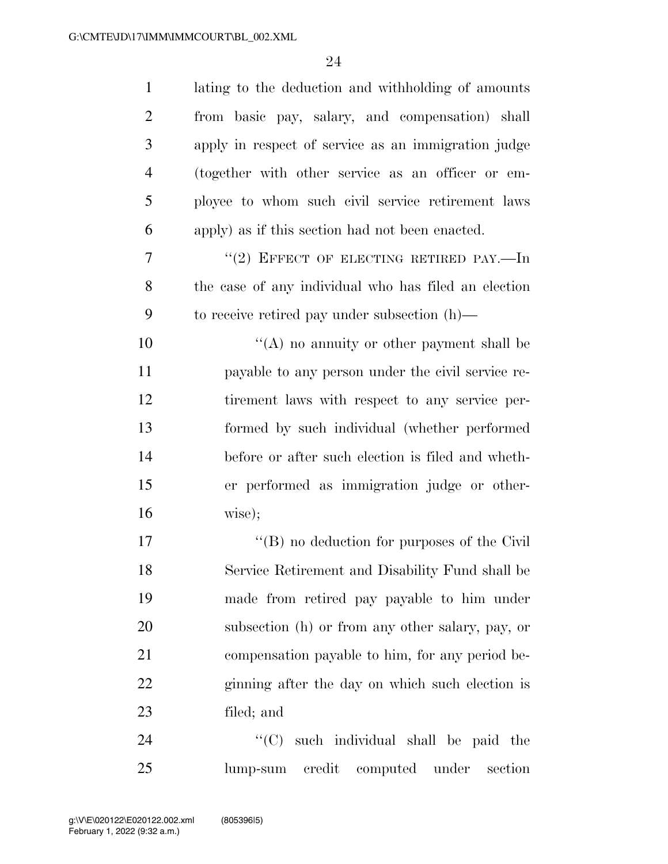| $\mathbf{1}$   | lating to the deduction and withholding of amounts   |
|----------------|------------------------------------------------------|
| $\overline{2}$ | from basic pay, salary, and compensation) shall      |
| 3              | apply in respect of service as an immigration judge  |
| $\overline{4}$ | (together with other service as an officer or em-    |
| 5              | ployee to whom such civil service retirement laws    |
| 6              | apply) as if this section had not been enacted.      |
| 7              | "(2) EFFECT OF ELECTING RETIRED PAY.—In              |
| 8              | the case of any individual who has filed an election |
| 9              | to receive retired pay under subsection $(h)$ —      |
| 10             | "(A) no annuity or other payment shall be            |
| 11             | payable to any person under the civil service re-    |
| 12             | tirement laws with respect to any service per-       |
| 13             | formed by such individual (whether performed         |
| 14             | before or after such election is filed and wheth-    |
| 15             | er performed as immigration judge or other-          |
| 16             | wise);                                               |
| 17             | $\lq\lq (B)$ no deduction for purposes of the Civil  |
| 18             | Service Retirement and Disability Fund shall be      |
| 19             | made from retired pay payable to him under           |
| 20             | subsection (h) or from any other salary, pay, or     |
| 21             | compensation payable to him, for any period be-      |
| 22             | ginning after the day on which such election is      |
| 23             | filed; and                                           |
| 24             | ``(C)<br>such individual shall be paid the           |
| 25             | credit<br>computed<br>under<br>section<br>lump-sum   |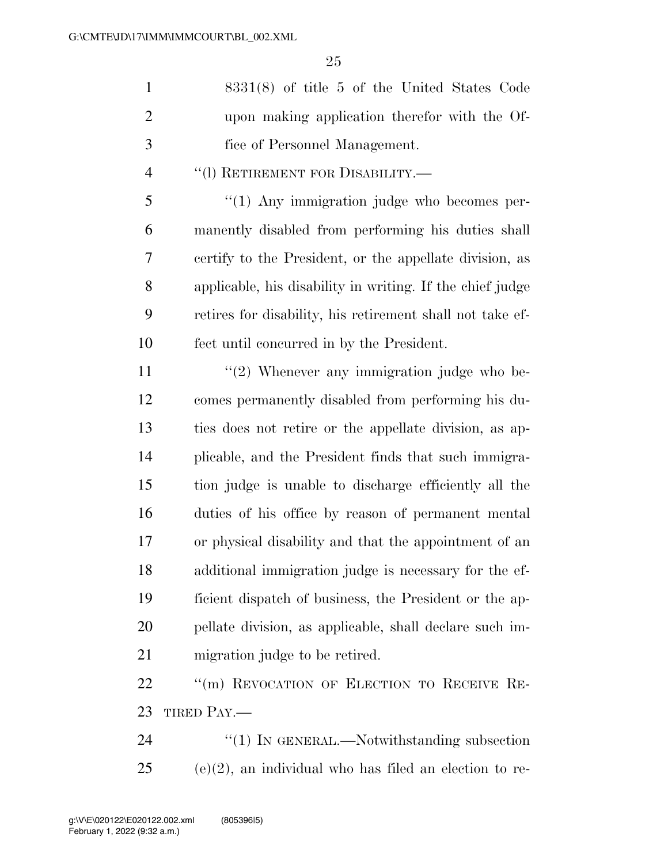|               | $8331(8)$ of title 5 of the United States Code |
|---------------|------------------------------------------------|
| 2             | upon making application therefor with the Of-  |
| $\mathcal{R}$ | fice of Personnel Management.                  |

### ''(l) RETIREMENT FOR DISABILITY.—

 ''(1) Any immigration judge who becomes per- manently disabled from performing his duties shall certify to the President, or the appellate division, as applicable, his disability in writing. If the chief judge retires for disability, his retirement shall not take ef-fect until concurred in by the President.

11 ''(2) Whenever any immigration judge who be- comes permanently disabled from performing his du- ties does not retire or the appellate division, as ap- plicable, and the President finds that such immigra- tion judge is unable to discharge efficiently all the duties of his office by reason of permanent mental or physical disability and that the appointment of an additional immigration judge is necessary for the ef- ficient dispatch of business, the President or the ap- pellate division, as applicable, shall declare such im-migration judge to be retired.

22 ""(m) REVOCATION OF ELECTION TO RECEIVE RE-TIRED PAY.—

24 "(1) IN GENERAL.—Notwithstanding subsection (e)(2), an individual who has filed an election to re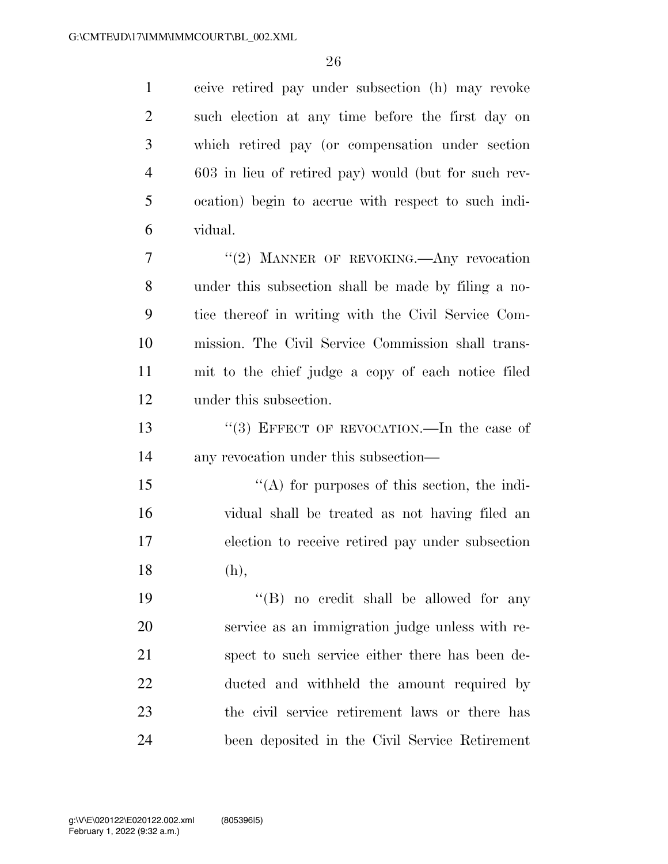ceive retired pay under subsection (h) may revoke such election at any time before the first day on which retired pay (or compensation under section 603 in lieu of retired pay) would (but for such rev- ocation) begin to accrue with respect to such indi-vidual.

7 "(2) MANNER OF REVOKING.—Any revocation under this subsection shall be made by filing a no- tice thereof in writing with the Civil Service Com- mission. The Civil Service Commission shall trans- mit to the chief judge a copy of each notice filed under this subsection.

13 "(3) EFFECT OF REVOCATION.—In the case of any revocation under this subsection—

 $\mathcal{L}(\mathbf{A})$  for purposes of this section, the indi- vidual shall be treated as not having filed an election to receive retired pay under subsection (h),

19 ''(B) no credit shall be allowed for any service as an immigration judge unless with re- spect to such service either there has been de- ducted and withheld the amount required by the civil service retirement laws or there has been deposited in the Civil Service Retirement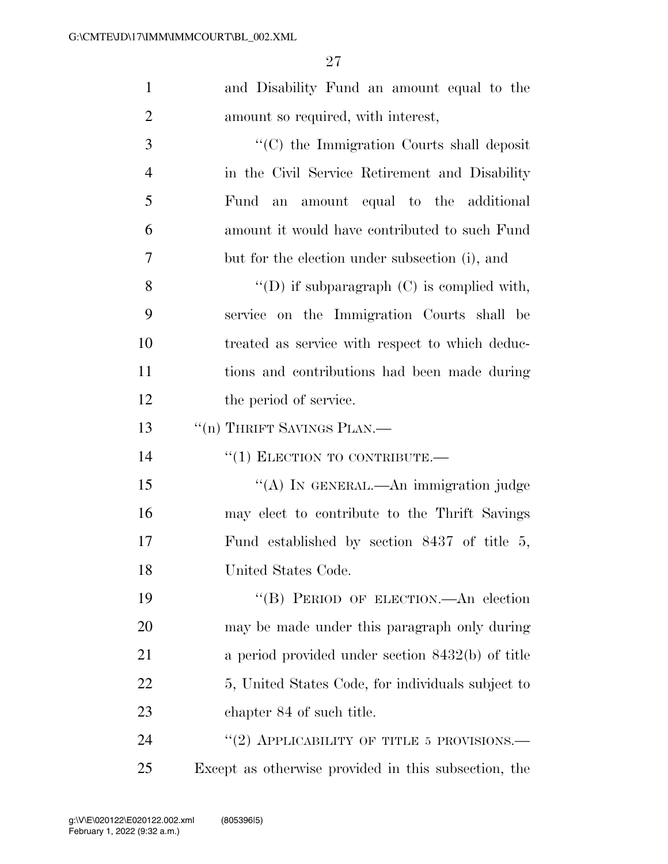| $\mathbf{1}$   | and Disability Fund an amount equal to the           |
|----------------|------------------------------------------------------|
| $\overline{2}$ | amount so required, with interest,                   |
| 3              | "(C) the Immigration Courts shall deposit            |
| $\overline{4}$ | in the Civil Service Retirement and Disability       |
| 5              | amount equal to the additional<br>Fund an            |
| 6              | amount it would have contributed to such Fund        |
| 7              | but for the election under subsection (i), and       |
| 8              | "(D) if subparagraph $(C)$ is complied with,         |
| 9              | service on the Immigration Courts shall be           |
| 10             | treated as service with respect to which deduc-      |
| 11             | tions and contributions had been made during         |
| 12             | the period of service.                               |
| 13             | "(n) THRIFT SAVINGS PLAN.—                           |
| 14             | $``(1)$ ELECTION TO CONTRIBUTE.                      |
| 15             | "(A) IN GENERAL.—An immigration judge                |
| 16             | may elect to contribute to the Thrift Savings        |
| 17             | Fund established by section $8437$ of title 5,       |
| 18             | United States Code.                                  |
| 19             | "(B) PERIOD OF ELECTION.—An election                 |
| 20             | may be made under this paragraph only during         |
| 21             | a period provided under section $8432(b)$ of title   |
| 22             | 5, United States Code, for individuals subject to    |
| 23             | chapter 84 of such title.                            |
| 24             | "(2) APPLICABILITY OF TITLE 5 PROVISIONS.—           |
| 25             | Except as otherwise provided in this subsection, the |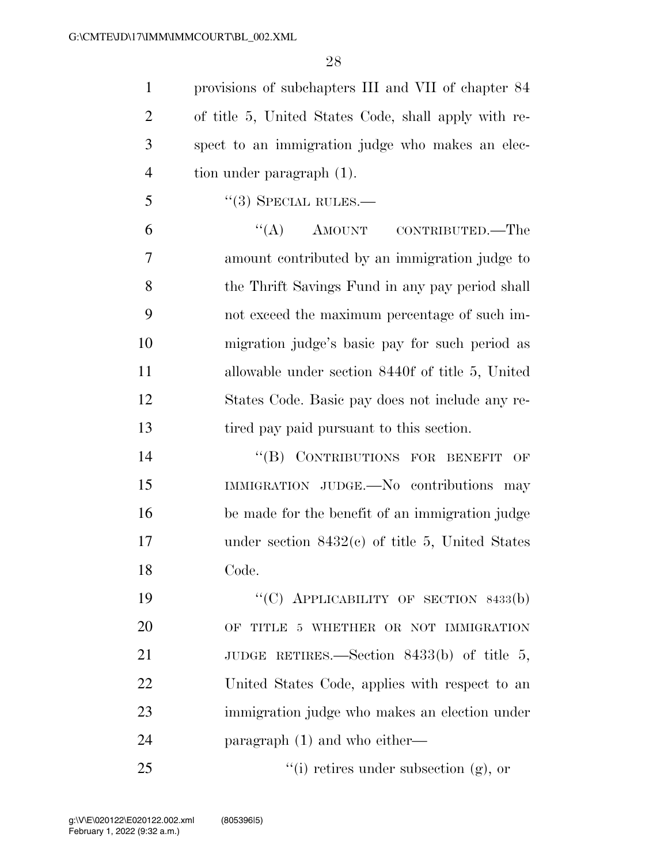provisions of subchapters III and VII of chapter 84 of title 5, United States Code, shall apply with re- spect to an immigration judge who makes an elec-tion under paragraph (1).

"(3) SPECIAL RULES.—

6 "(A) AMOUNT CONTRIBUTED.—The amount contributed by an immigration judge to the Thrift Savings Fund in any pay period shall not exceed the maximum percentage of such im- migration judge's basic pay for such period as allowable under section 8440f of title 5, United States Code. Basic pay does not include any re-tired pay paid pursuant to this section.

14 "(B) CONTRIBUTIONS FOR BENEFIT OF IMMIGRATION JUDGE.—No contributions may be made for the benefit of an immigration judge under section 8432(c) of title 5, United States Code.

19 "'(C) APPLICABILITY OF SECTION 8433(b) OF TITLE 5 WHETHER OR NOT IMMIGRATION 21 JUDGE RETIRES.—Section 8433(b) of title 5, United States Code, applies with respect to an immigration judge who makes an election under paragraph (1) and who either—

''(i) retires under subsection (g), or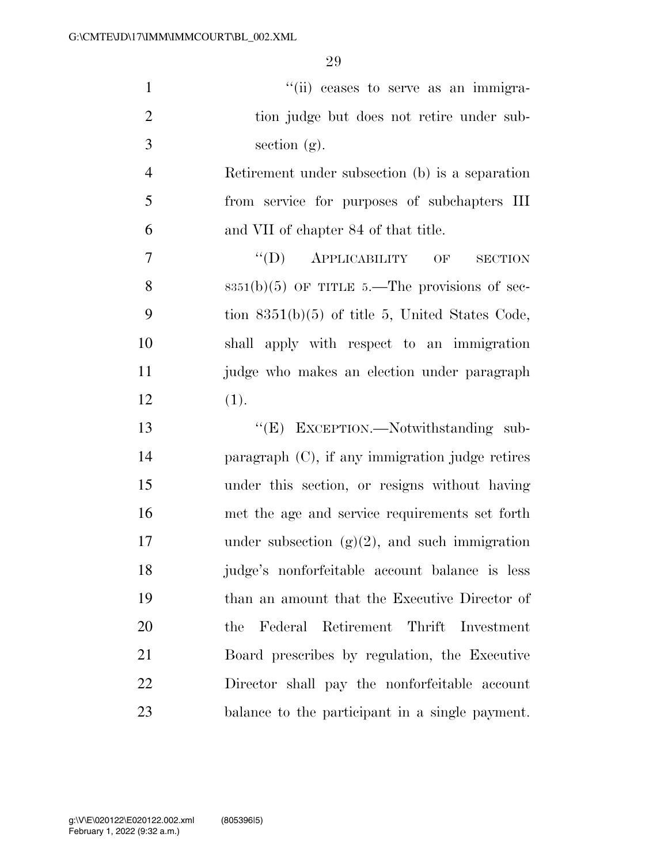| $\mathbf{1}$   | "(ii) ceases to serve as an immigra-                        |
|----------------|-------------------------------------------------------------|
| $\overline{2}$ | tion judge but does not retire under sub-                   |
| 3              | section $(g)$ .                                             |
| $\overline{4}$ | Retirement under subsection (b) is a separation             |
| 5              | from service for purposes of subchapters III                |
| 6              | and VII of chapter 84 of that title.                        |
| 7              | $\lq\lq (D)$<br><b>АРРЫСАВІLITY</b><br>OF<br><b>SECTION</b> |
| 8              | $8351(b)(5)$ OF TITLE 5.—The provisions of sec-             |
| 9              | tion $8351(b)(5)$ of title 5, United States Code,           |
| 10             | shall apply with respect to an immigration                  |
| 11             | judge who makes an election under paragraph                 |
| 12             | (1).                                                        |
| 13             | "(E) EXCEPTION.—Notwithstanding sub-                        |
| 14             | paragraph $(C)$ , if any immigration judge retires          |
| 15             | under this section, or resigns without having               |
| 16             | met the age and service requirements set forth              |
| 17             | under subsection $(g)(2)$ , and such immigration            |
| 18             | judge's nonforfeitable account balance is less              |
| 19             | than an amount that the Executive Director of               |
| <b>20</b>      | Federal Retirement Thrift Investment<br>the                 |
| 21             | Board prescribes by regulation, the Executive               |

Director shall pay the nonforfeitable account

balance to the participant in a single payment.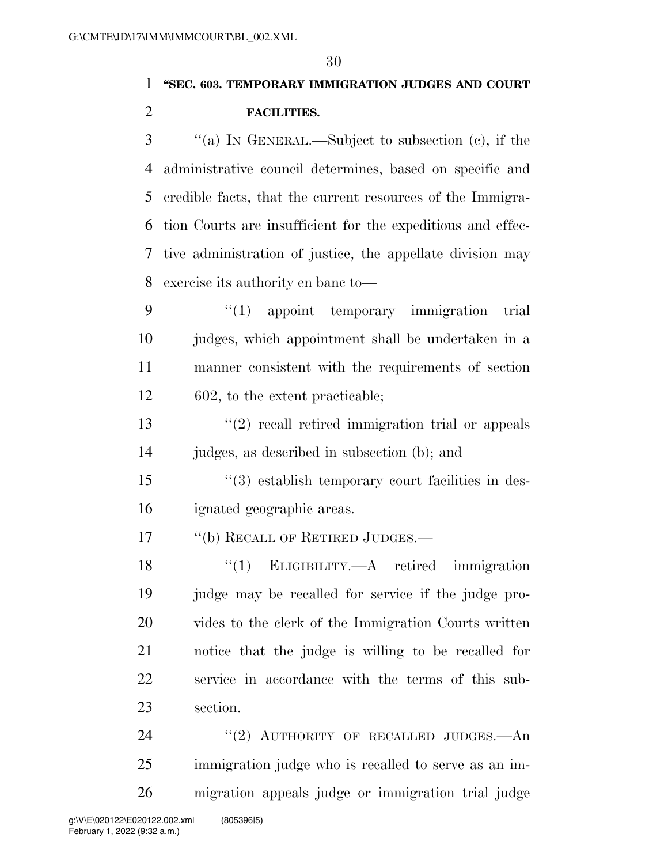### **''SEC. 603. TEMPORARY IMMIGRATION JUDGES AND COURT FACILITIES.**

 ''(a) IN GENERAL.—Subject to subsection (c), if the administrative council determines, based on specific and credible facts, that the current resources of the Immigra- tion Courts are insufficient for the expeditious and effec- tive administration of justice, the appellate division may exercise its authority en banc to—

 ''(1) appoint temporary immigration trial judges, which appointment shall be undertaken in a manner consistent with the requirements of section 602, to the extent practicable;

13 ''(2) recall retired immigration trial or appeals judges, as described in subsection (b); and

 ''(3) establish temporary court facilities in des-ignated geographic areas.

17 "(b) RECALL OF RETIRED JUDGES.—

 ''(1) ELIGIBILITY.—A retired immigration judge may be recalled for service if the judge pro- vides to the clerk of the Immigration Courts written notice that the judge is willing to be recalled for service in accordance with the terms of this sub-section.

24 "(2) AUTHORITY OF RECALLED JUDGES.—An immigration judge who is recalled to serve as an im-migration appeals judge or immigration trial judge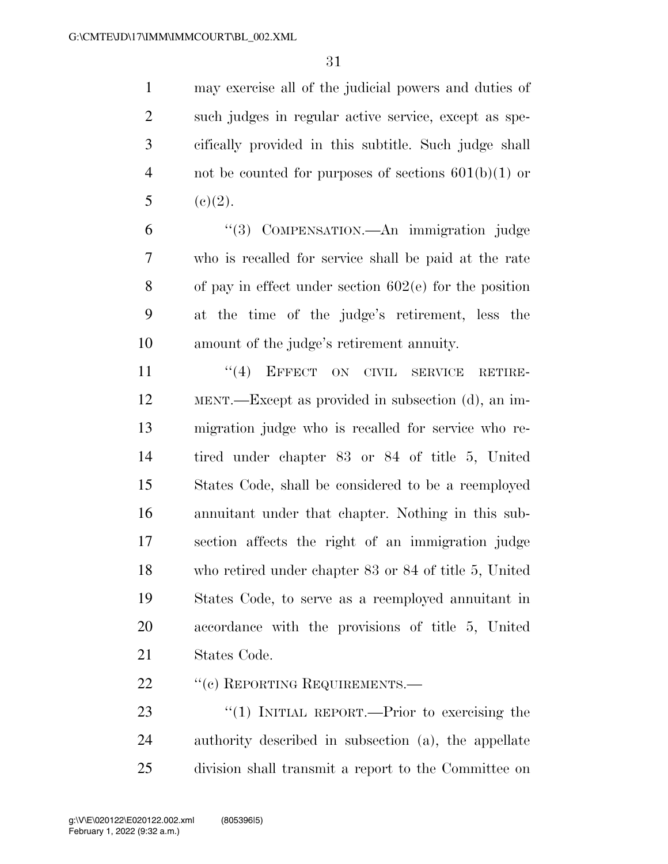may exercise all of the judicial powers and duties of such judges in regular active service, except as spe- cifically provided in this subtitle. Such judge shall not be counted for purposes of sections 601(b)(1) or 5 (c)(2).

 ''(3) COMPENSATION.—An immigration judge who is recalled for service shall be paid at the rate of pay in effect under section 602(e) for the position at the time of the judge's retirement, less the amount of the judge's retirement annuity.

11 "(4) EFFECT ON CIVIL SERVICE RETIRE- MENT.—Except as provided in subsection (d), an im- migration judge who is recalled for service who re- tired under chapter 83 or 84 of title 5, United States Code, shall be considered to be a reemployed annuitant under that chapter. Nothing in this sub- section affects the right of an immigration judge who retired under chapter 83 or 84 of title 5, United States Code, to serve as a reemployed annuitant in accordance with the provisions of title 5, United States Code.

22 " (c) REPORTING REQUIREMENTS.—

23 "(1) INITIAL REPORT.—Prior to exercising the authority described in subsection (a), the appellate division shall transmit a report to the Committee on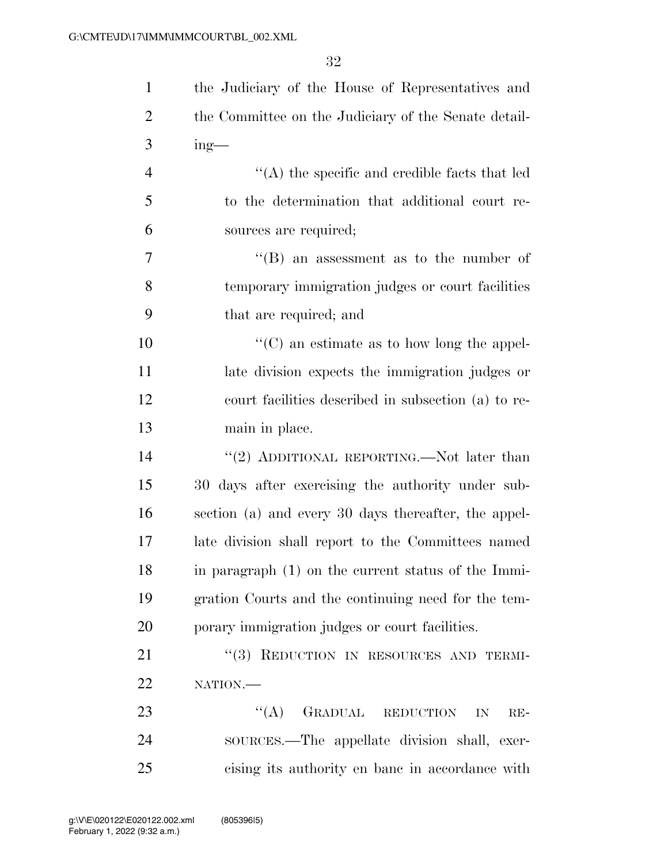| $\mathbf{1}$   | the Judiciary of the House of Representatives and     |
|----------------|-------------------------------------------------------|
| $\overline{c}$ | the Committee on the Judiciary of the Senate detail-  |
| 3              | $ing$ —                                               |
| $\overline{4}$ | $\lq\lq$ the specific and credible facts that led     |
| 5              | to the determination that additional court re-        |
| 6              | sources are required;                                 |
| 7              | $\lq\lq$ (B) an assessment as to the number of        |
| 8              | temporary immigration judges or court facilities      |
| 9              | that are required; and                                |
| 10             | $\lq\lq$ (C) an estimate as to how long the appel-    |
| 11             | late division expects the immigration judges or       |
| 12             | court facilities described in subsection (a) to re-   |
| 13             | main in place.                                        |
| 14             | "(2) ADDITIONAL REPORTING.—Not later than             |
| 15             | 30 days after exercising the authority under sub-     |
| 16             | section (a) and every 30 days thereafter, the appel-  |
| 17             | late division shall report to the Committees named    |
| 18             | in paragraph $(1)$ on the current status of the Immi- |
| 19             | gration Courts and the continuing need for the tem-   |
| 20             | porary immigration judges or court facilities.        |
| 21             | "(3) REDUCTION IN RESOURCES AND TERMI-                |
| 22             | NATION.                                               |
| 23             | GRADUAL REDUCTION<br>(4)<br>IN<br>$RE-$               |
| 24             | sources.—The appellate division shall, exer-          |
| 25             | cising its authority en bane in accordance with       |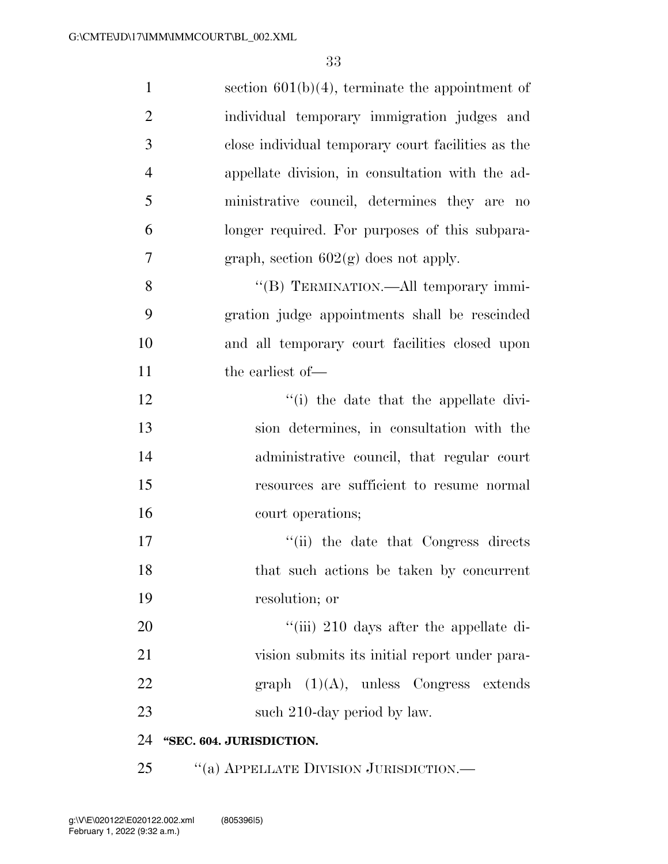| $\mathbf{1}$   | section $601(b)(4)$ , terminate the appointment of |
|----------------|----------------------------------------------------|
| $\overline{2}$ | individual temporary immigration judges and        |
| 3              | close individual temporary court facilities as the |
| $\overline{4}$ | appellate division, in consultation with the ad-   |
| 5              | ministrative council, determines they are no       |
| 6              | longer required. For purposes of this subpara-     |
| $\overline{7}$ | graph, section $602(g)$ does not apply.            |
| 8              | "(B) TERMINATION.—All temporary immi-              |
| 9              | gration judge appointments shall be rescinded      |
| 10             | and all temporary court facilities closed upon     |
| 11             | the earliest of-                                   |
| 12             | "(i) the date that the appellate divi-             |
| 13             | sion determines, in consultation with the          |
| 14             | administrative council, that regular court         |
| 15             | resources are sufficient to resume normal          |
| 16             | court operations;                                  |
| 17             | "(ii) the date that Congress directs               |
| 18             | that such actions be taken by concurrent           |
| 19             | resolution; or                                     |
| 20             | "(iii) 210 days after the appellate di-            |
| 21             | vision submits its initial report under para-      |
| 22             | graph $(1)(A)$ , unless Congress extends           |
| 23             | such 210-day period by law.                        |
| 24             | "SEC. 604. JURISDICTION.                           |
| 25             | "(a) APPELLATE DIVISION JURISDICTION.-             |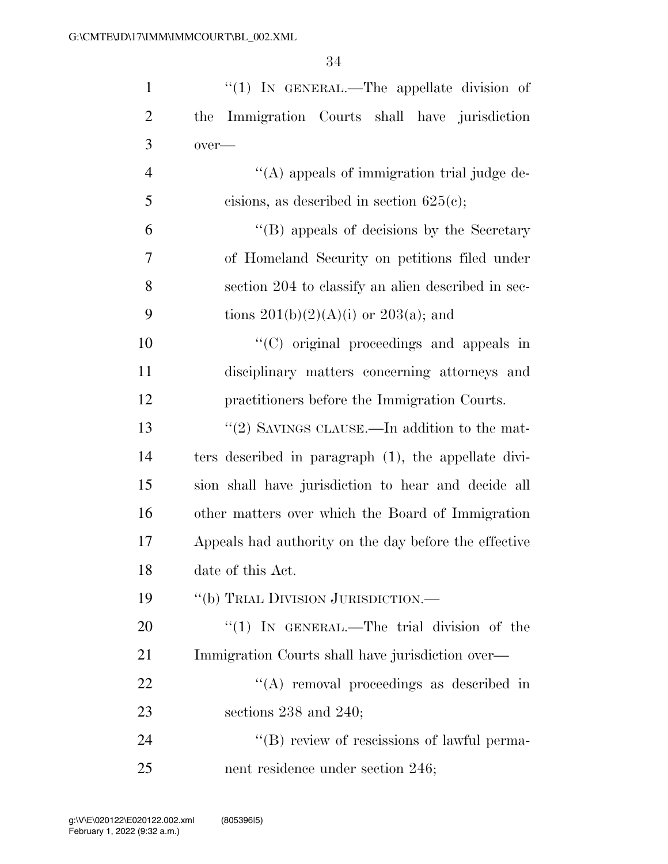| $\mathbf{1}$   | " $(1)$ In GENERAL.—The appellate division of         |
|----------------|-------------------------------------------------------|
| $\overline{2}$ | the Immigration Courts shall have jurisdiction        |
| 3              | over-                                                 |
| $\overline{4}$ | $\lq\lq$ appeals of immigration trial judge de-       |
| 5              | cisions, as described in section $625(c)$ ;           |
| 6              | "(B) appeals of decisions by the Secretary            |
| $\overline{7}$ | of Homeland Security on petitions filed under         |
| 8              | section 204 to classify an alien described in sec-    |
| 9              | tions $201(b)(2)(A)(i)$ or $203(a)$ ; and             |
| 10             | $\lq\lq$ (C) original proceedings and appeals in      |
| 11             | disciplinary matters concerning attorneys and         |
| 12             | practitioners before the Immigration Courts.          |
| 13             | "(2) SAVINGS CLAUSE.—In addition to the mat-          |
| 14             | ters described in paragraph (1), the appellate divi-  |
| 15             | sion shall have jurisdiction to hear and decide all   |
| 16             | other matters over which the Board of Immigration     |
| 17             | Appeals had authority on the day before the effective |
| 18             | date of this Act.                                     |
| 19             | "(b) TRIAL DIVISION JURISDICTION.—                    |
| 20             | " $(1)$ IN GENERAL.—The trial division of the         |
| 21             | Immigration Courts shall have jurisdiction over—      |
| 22             | $\lq\lq$ removal proceedings as described in          |
| 23             | sections $238$ and $240$ ;                            |
| 24             | "(B) review of rescissions of lawful perma-           |
| 25             | nent residence under section 246;                     |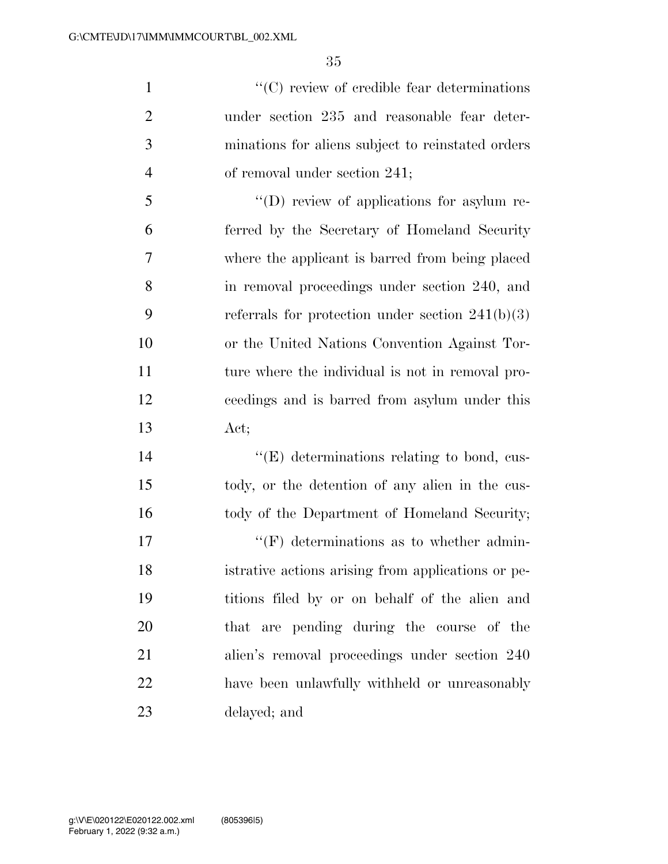$\lq(0)$  review of credible fear determinations under section 235 and reasonable fear deter- minations for aliens subject to reinstated orders of removal under section 241;

 ''(D) review of applications for asylum re- ferred by the Secretary of Homeland Security where the applicant is barred from being placed in removal proceedings under section 240, and 9 referrals for protection under section  $241(b)(3)$  or the United Nations Convention Against Tor- ture where the individual is not in removal pro- ceedings and is barred from asylum under this Act;

14  $\langle (E)$  determinations relating to bond, cus- tody, or the detention of any alien in the cus-16 tody of the Department of Homeland Security;

 $\langle f(\mathbf{F})\rangle$  determinations as to whether admin- istrative actions arising from applications or pe- titions filed by or on behalf of the alien and that are pending during the course of the alien's removal proceedings under section 240 have been unlawfully withheld or unreasonably delayed; and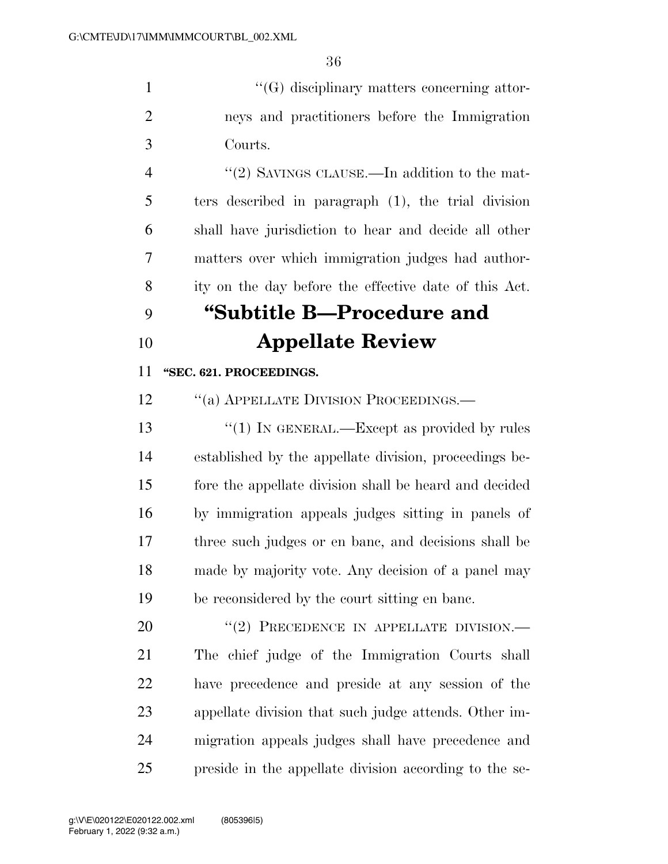1  $\langle G \rangle$  disciplinary matters concerning attor- neys and practitioners before the Immigration Courts.

4 "(2) SAVINGS CLAUSE.—In addition to the mat- ters described in paragraph (1), the trial division shall have jurisdiction to hear and decide all other matters over which immigration judges had author-ity on the day before the effective date of this Act.

# **''Subtitle B—Procedure and Appellate Review**

#### **''SEC. 621. PROCEEDINGS.**

12 "(a) APPELLATE DIVISION PROCEEDINGS.—

13 ''(1) In GENERAL.—Except as provided by rules established by the appellate division, proceedings be- fore the appellate division shall be heard and decided by immigration appeals judges sitting in panels of three such judges or en banc, and decisions shall be made by majority vote. Any decision of a panel may be reconsidered by the court sitting en banc.

20 "(2) PRECEDENCE IN APPELLATE DIVISION.— The chief judge of the Immigration Courts shall have precedence and preside at any session of the appellate division that such judge attends. Other im- migration appeals judges shall have precedence and preside in the appellate division according to the se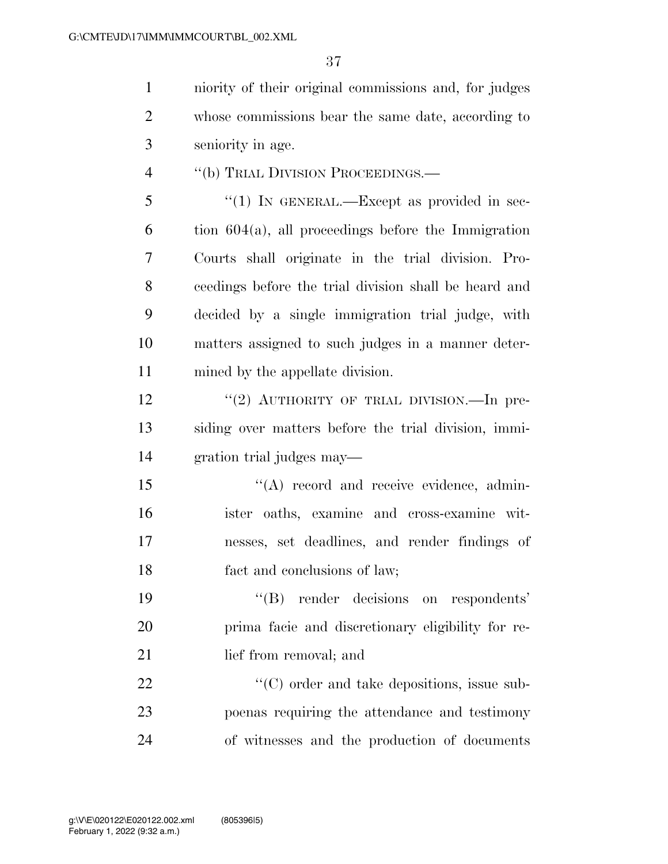niority of their original commissions and, for judges whose commissions bear the same date, according to seniority in age.

4 "(b) TRIAL DIVISION PROCEEDINGS.—

5 "(1) In GENERAL.—Except as provided in sec- $6 \text{ }$  tion  $604(a)$ , all proceedings before the Immigration Courts shall originate in the trial division. Pro- ceedings before the trial division shall be heard and decided by a single immigration trial judge, with matters assigned to such judges in a manner deter-mined by the appellate division.

12 "(2) AUTHORITY OF TRIAL DIVISION.—In pre- siding over matters before the trial division, immi-gration trial judges may—

15 "(A) record and receive evidence, admin- ister oaths, examine and cross-examine wit- nesses, set deadlines, and render findings of fact and conclusions of law;

 ''(B) render decisions on respondents' prima facie and discretionary eligibility for re-21 lief from removal; and

22  $\langle ^{\prime}(C) \rangle$  order and take depositions, issue sub- poenas requiring the attendance and testimony of witnesses and the production of documents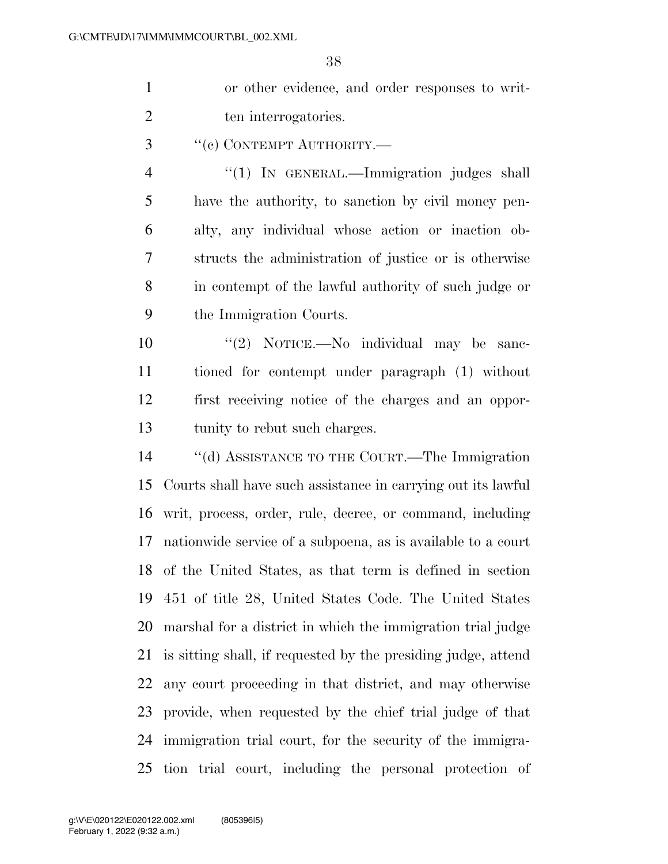$\Omega$ 

|                | 38                                                            |
|----------------|---------------------------------------------------------------|
| $\mathbf{1}$   | or other evidence, and order responses to writ-               |
| $\overline{2}$ | ten interrogatories.                                          |
| 3              | "(c) CONTEMPT AUTHORITY.-                                     |
| $\overline{4}$ | "(1) IN GENERAL.—Immigration judges shall                     |
| 5              | have the authority, to sanction by civil money pen-           |
| 6              | alty, any individual whose action or inaction ob-             |
| 7              | structs the administration of justice or is otherwise         |
| 8              | in contempt of the lawful authority of such judge or          |
| 9              | the Immigration Courts.                                       |
| 10             | "(2) NOTICE.—No individual may be sanc-                       |
| 11             | tioned for contempt under paragraph (1) without               |
| 12             | first receiving notice of the charges and an oppor-           |
| 13             | tunity to rebut such charges.                                 |
| 14             | "(d) ASSISTANCE TO THE COURT.—The Immigration                 |
| 15             | Courts shall have such assistance in carrying out its lawful  |
| 16             | writ, process, order, rule, decree, or command, including     |
| 17             | nationwide service of a subpoena, as is available to a court  |
| 18             | of the United States, as that term is defined in section      |
| 19             | 451 of title 28, United States Code. The United States        |
| 20             | marshal for a district in which the immigration trial judge   |
| 21             | is sitting shall, if requested by the presiding judge, attend |
| 22             | any court proceeding in that district, and may otherwise      |
| 23             | provide, when requested by the chief trial judge of that      |
| 24             | immigration trial court, for the security of the immigra-     |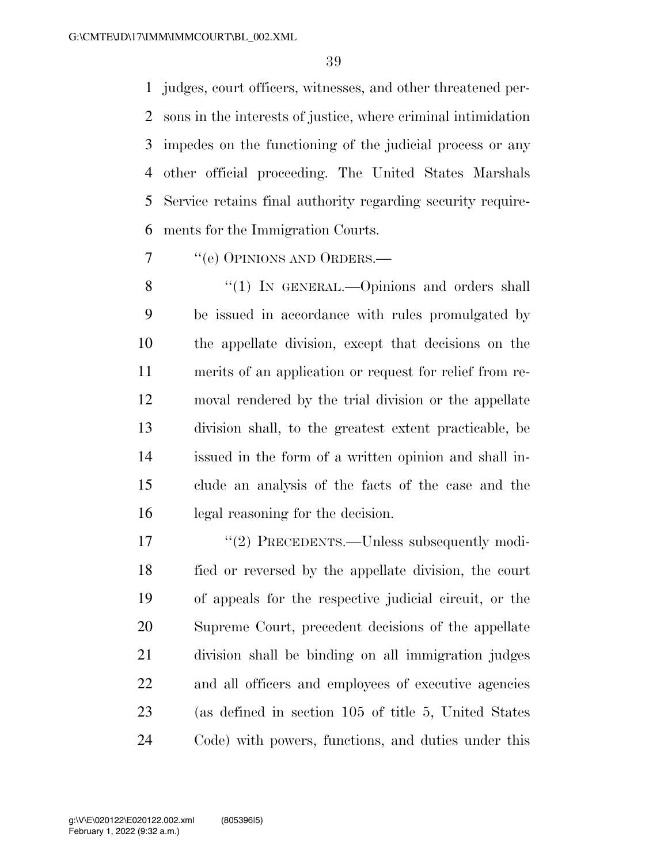judges, court officers, witnesses, and other threatened per- sons in the interests of justice, where criminal intimidation impedes on the functioning of the judicial process or any other official proceeding. The United States Marshals Service retains final authority regarding security require-ments for the Immigration Courts.

''(e) OPINIONS AND ORDERS.—

8 "(1) IN GENERAL.—Opinions and orders shall be issued in accordance with rules promulgated by the appellate division, except that decisions on the merits of an application or request for relief from re- moval rendered by the trial division or the appellate division shall, to the greatest extent practicable, be issued in the form of a written opinion and shall in- clude an analysis of the facts of the case and the legal reasoning for the decision.

17 "(2) PRECEDENTS.—Unless subsequently modi- fied or reversed by the appellate division, the court of appeals for the respective judicial circuit, or the Supreme Court, precedent decisions of the appellate division shall be binding on all immigration judges and all officers and employees of executive agencies (as defined in section 105 of title 5, United States Code) with powers, functions, and duties under this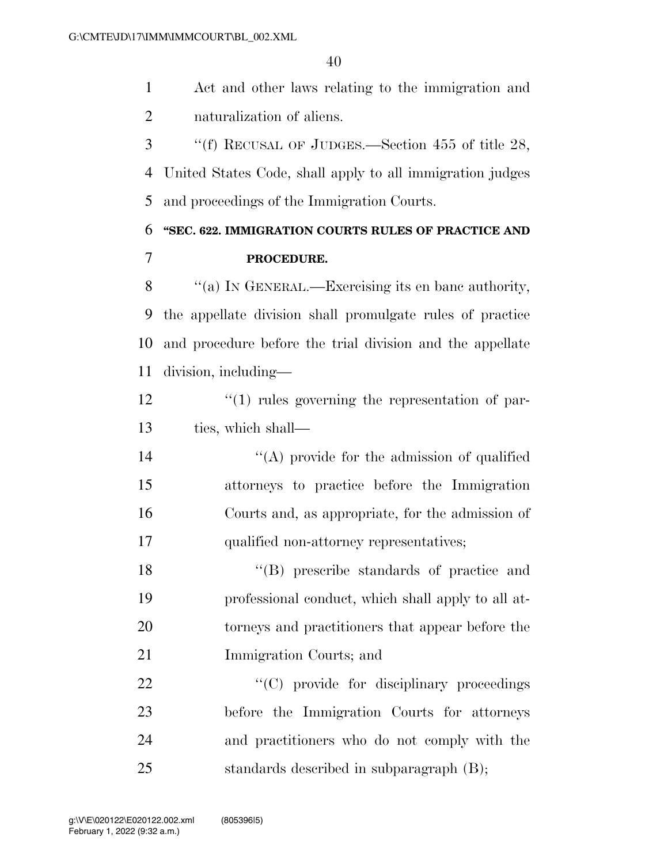Act and other laws relating to the immigration and naturalization of aliens.

 ''(f) RECUSAL OF JUDGES.—Section 455 of title 28, United States Code, shall apply to all immigration judges and proceedings of the Immigration Courts.

## **''SEC. 622. IMMIGRATION COURTS RULES OF PRACTICE AND PROCEDURE.**

 ''(a) IN GENERAL.—Exercising its en banc authority, the appellate division shall promulgate rules of practice and procedure before the trial division and the appellate division, including—

12  $\frac{1}{2}$   $\frac{1}{2}$  rules governing the representation of par-ties, which shall—

14 ''(A) provide for the admission of qualified attorneys to practice before the Immigration Courts and, as appropriate, for the admission of qualified non-attorney representatives;

18 ''(B) prescribe standards of practice and professional conduct, which shall apply to all at- torneys and practitioners that appear before the Immigration Courts; and

 $\cdot$  (C) provide for disciplinary proceedings before the Immigration Courts for attorneys and practitioners who do not comply with the standards described in subparagraph (B);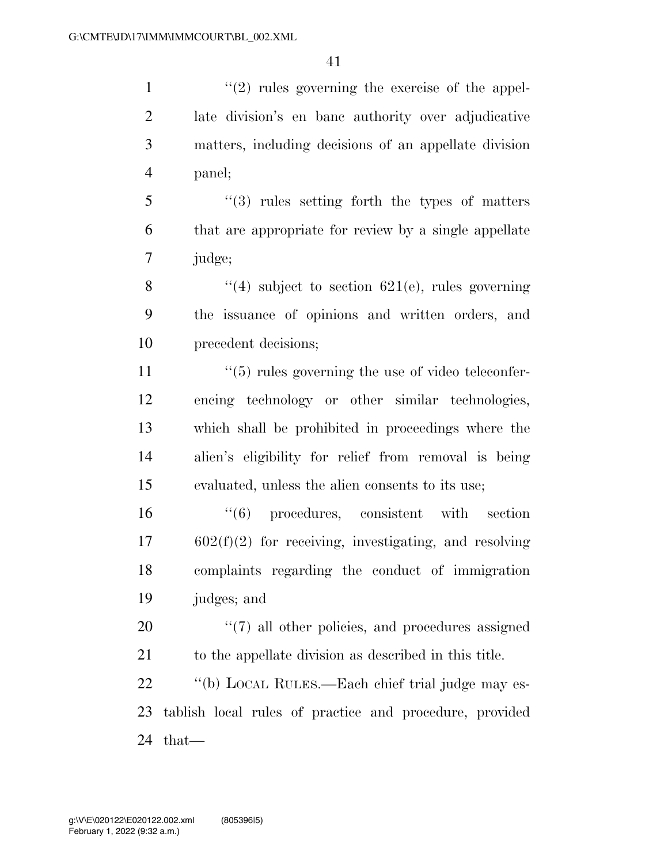$\frac{1}{2}$  rules governing the exercise of the appel- late division's en banc authority over adjudicative matters, including decisions of an appellate division panel;

 ''(3) rules setting forth the types of matters that are appropriate for review by a single appellate judge;

8  $\frac{4}{14}$  subject to section 621(e), rules governing the issuance of opinions and written orders, and precedent decisions;

 $\frac{11}{11}$  ''(5) rules governing the use of video teleconfer- encing technology or other similar technologies, which shall be prohibited in proceedings where the alien's eligibility for relief from removal is being evaluated, unless the alien consents to its use;

 $(6)$  procedures, consistent with section 602(f)(2) for receiving, investigating, and resolving complaints regarding the conduct of immigration judges; and

20  $\frac{1}{20}$  (7) all other policies, and procedures assigned to the appellate division as described in this title.

 ''(b) LOCAL RULES.—Each chief trial judge may es- tablish local rules of practice and procedure, provided that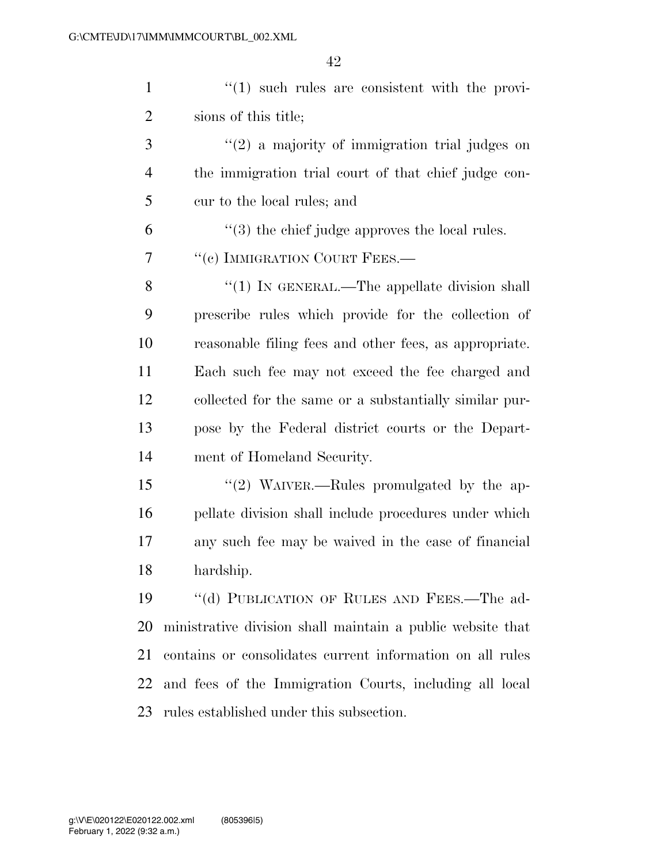1  $\frac{1}{1}$  (1) such rules are consistent with the provi-sions of this title;

 ''(2) a majority of immigration trial judges on the immigration trial court of that chief judge con-cur to the local rules; and

 $(3)$  the chief judge approves the local rules.

7 "(c) IMMIGRATION COURT FEES.—

8 "(1) In GENERAL.—The appellate division shall prescribe rules which provide for the collection of reasonable filing fees and other fees, as appropriate. Each such fee may not exceed the fee charged and collected for the same or a substantially similar pur- pose by the Federal district courts or the Depart-ment of Homeland Security.

 ''(2) WAIVER.—Rules promulgated by the ap- pellate division shall include procedures under which any such fee may be waived in the case of financial hardship.

 ''(d) PUBLICATION OF RULES AND FEES.—The ad- ministrative division shall maintain a public website that contains or consolidates current information on all rules and fees of the Immigration Courts, including all local rules established under this subsection.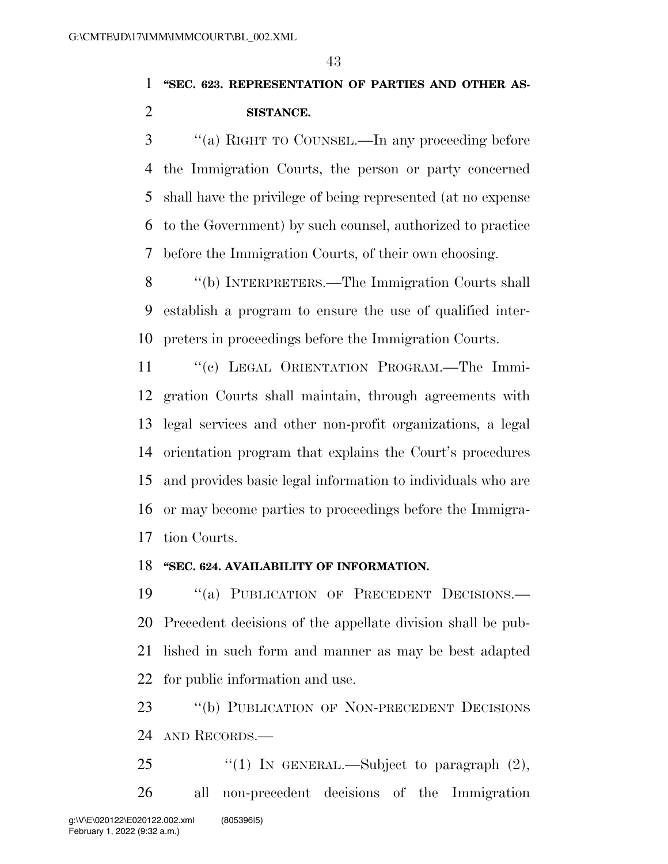# **''SEC. 623. REPRESENTATION OF PARTIES AND OTHER AS-SISTANCE.**

 ''(a) RIGHT TO COUNSEL.—In any proceeding before the Immigration Courts, the person or party concerned shall have the privilege of being represented (at no expense to the Government) by such counsel, authorized to practice before the Immigration Courts, of their own choosing.

 ''(b) INTERPRETERS.—The Immigration Courts shall establish a program to ensure the use of qualified inter-preters in proceedings before the Immigration Courts.

11 "(c) LEGAL ORIENTATION PROGRAM.—The Immi- gration Courts shall maintain, through agreements with legal services and other non-profit organizations, a legal orientation program that explains the Court's procedures and provides basic legal information to individuals who are or may become parties to proceedings before the Immigra-tion Courts.

### **''SEC. 624. AVAILABILITY OF INFORMATION.**

19 "(a) PUBLICATION OF PRECEDENT DECISIONS.— Precedent decisions of the appellate division shall be pub- lished in such form and manner as may be best adapted for public information and use.

 ''(b) PUBLICATION OF NON-PRECEDENT DECISIONS AND RECORDS.—

25  $\frac{1}{25}$  (1) In GENERAL.—Subject to paragraph  $(2)$ , all non-precedent decisions of the Immigration g:\V\E\020122\E020122.002.xml (805396|5)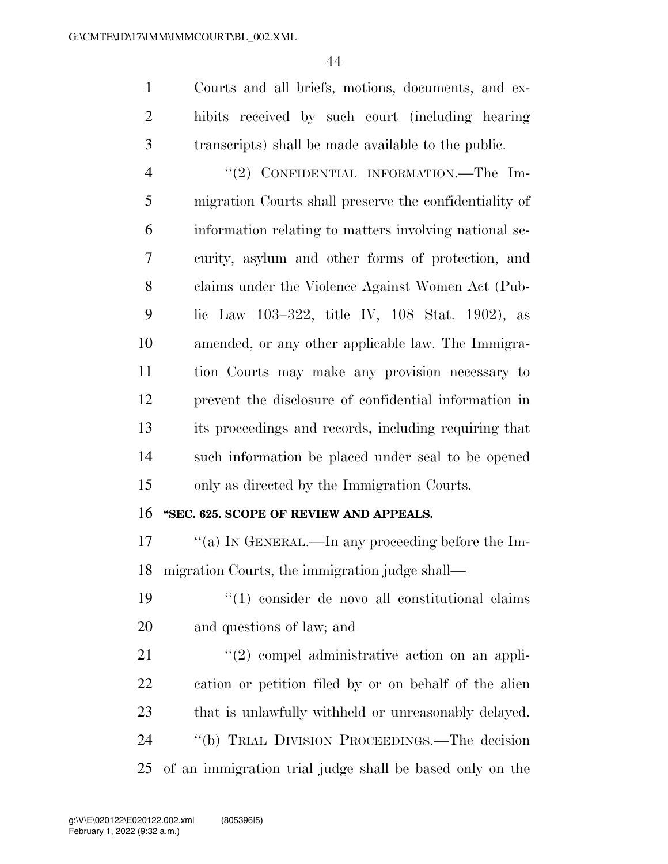Courts and all briefs, motions, documents, and ex- hibits received by such court (including hearing transcripts) shall be made available to the public.

4 "(2) CONFIDENTIAL INFORMATION.—The Im- migration Courts shall preserve the confidentiality of information relating to matters involving national se- curity, asylum and other forms of protection, and claims under the Violence Against Women Act (Pub- lic Law 103–322, title IV, 108 Stat. 1902), as amended, or any other applicable law. The Immigra- tion Courts may make any provision necessary to prevent the disclosure of confidential information in its proceedings and records, including requiring that such information be placed under seal to be opened only as directed by the Immigration Courts.

### **''SEC. 625. SCOPE OF REVIEW AND APPEALS.**

 ''(a) IN GENERAL.—In any proceeding before the Im-migration Courts, the immigration judge shall—

19  $\frac{1}{2}$  (1) consider de novo all constitutional claims and questions of law; and

 $\frac{1}{2}$  (2) compel administrative action on an appli- cation or petition filed by or on behalf of the alien that is unlawfully withheld or unreasonably delayed. ''(b) TRIAL DIVISION PROCEEDINGS.—The decision of an immigration trial judge shall be based only on the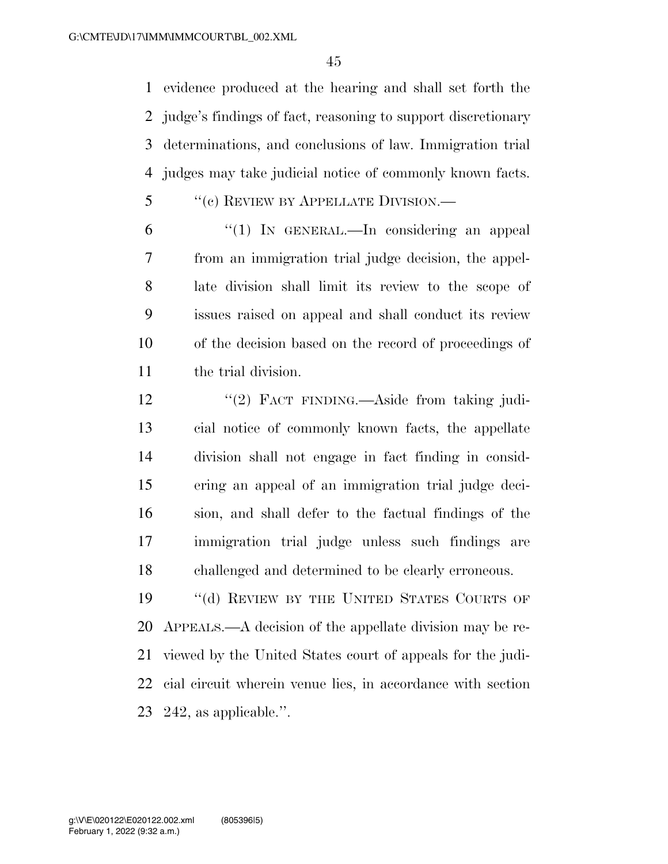evidence produced at the hearing and shall set forth the judge's findings of fact, reasoning to support discretionary determinations, and conclusions of law. Immigration trial judges may take judicial notice of commonly known facts.

''(c) REVIEW BY APPELLATE DIVISION.—

 ''(1) IN GENERAL.—In considering an appeal from an immigration trial judge decision, the appel- late division shall limit its review to the scope of issues raised on appeal and shall conduct its review of the decision based on the record of proceedings of the trial division.

12 "(2) FACT FINDING.—Aside from taking judi- cial notice of commonly known facts, the appellate division shall not engage in fact finding in consid- ering an appeal of an immigration trial judge deci- sion, and shall defer to the factual findings of the immigration trial judge unless such findings are challenged and determined to be clearly erroneous.

19 "(d) REVIEW BY THE UNITED STATES COURTS OF APPEALS.—A decision of the appellate division may be re- viewed by the United States court of appeals for the judi- cial circuit wherein venue lies, in accordance with section 242, as applicable.''.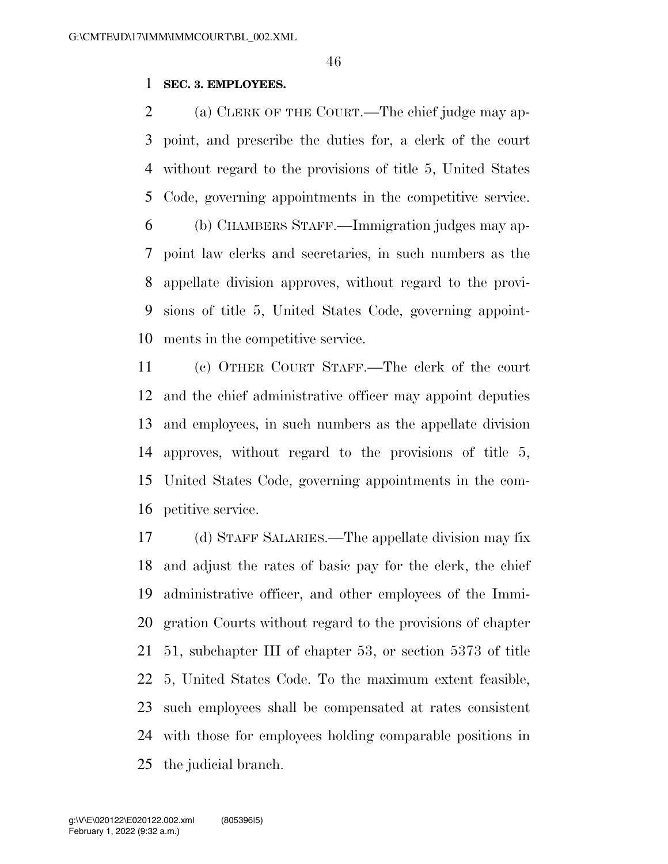### **SEC. 3. EMPLOYEES.**

 (a) CLERK OF THE COURT.—The chief judge may ap- point, and prescribe the duties for, a clerk of the court without regard to the provisions of title 5, United States Code, governing appointments in the competitive service. (b) CHAMBERS STAFF.—Immigration judges may ap- point law clerks and secretaries, in such numbers as the appellate division approves, without regard to the provi- sions of title 5, United States Code, governing appoint-ments in the competitive service.

 (c) OTHER COURT STAFF.—The clerk of the court and the chief administrative officer may appoint deputies and employees, in such numbers as the appellate division approves, without regard to the provisions of title 5, United States Code, governing appointments in the com-petitive service.

 (d) STAFF SALARIES.—The appellate division may fix and adjust the rates of basic pay for the clerk, the chief administrative officer, and other employees of the Immi- gration Courts without regard to the provisions of chapter 51, subchapter III of chapter 53, or section 5373 of title 5, United States Code. To the maximum extent feasible, such employees shall be compensated at rates consistent with those for employees holding comparable positions in the judicial branch.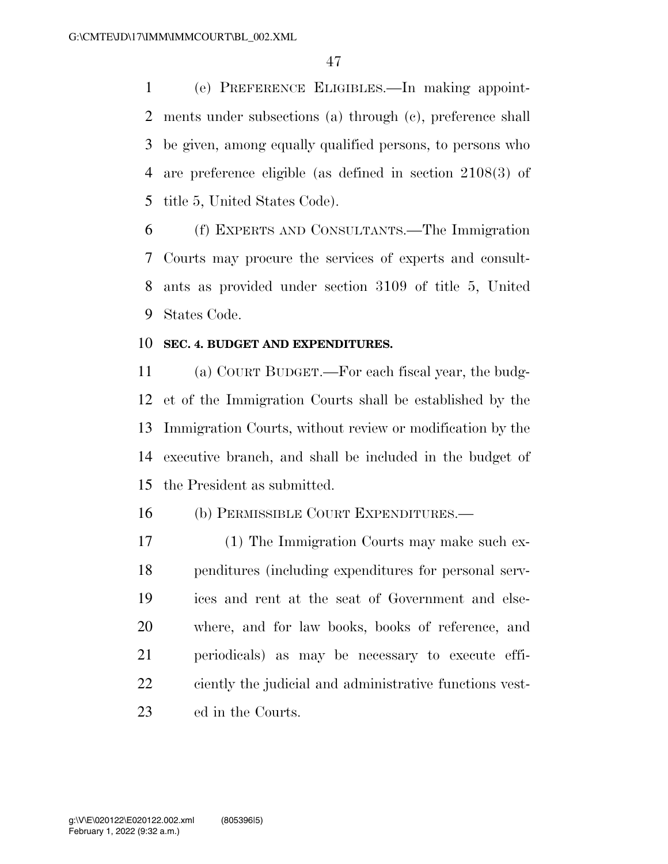(e) PREFERENCE ELIGIBLES.—In making appoint- ments under subsections (a) through (c), preference shall be given, among equally qualified persons, to persons who are preference eligible (as defined in section 2108(3) of title 5, United States Code).

 (f) EXPERTS AND CONSULTANTS.—The Immigration Courts may procure the services of experts and consult- ants as provided under section 3109 of title 5, United States Code.

### **SEC. 4. BUDGET AND EXPENDITURES.**

 (a) COURT BUDGET.—For each fiscal year, the budg- et of the Immigration Courts shall be established by the Immigration Courts, without review or modification by the executive branch, and shall be included in the budget of the President as submitted.

### (b) PERMISSIBLE COURT EXPENDITURES.—

 (1) The Immigration Courts may make such ex- penditures (including expenditures for personal serv- ices and rent at the seat of Government and else- where, and for law books, books of reference, and periodicals) as may be necessary to execute effi- ciently the judicial and administrative functions vest-ed in the Courts.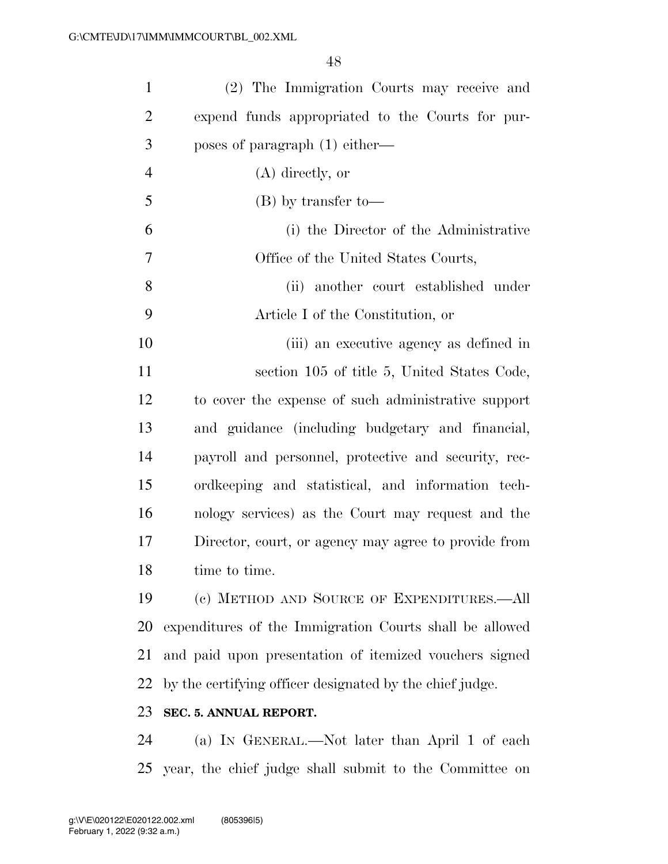| $\mathbf{1}$   | (2) The Immigration Courts may receive and               |
|----------------|----------------------------------------------------------|
| $\overline{2}$ | expend funds appropriated to the Courts for pur-         |
| 3              | poses of paragraph $(1)$ either—                         |
| $\overline{4}$ | $(A)$ directly, or                                       |
| 5              | $(B)$ by transfer to-                                    |
| 6              | (i) the Director of the Administrative                   |
| 7              | Office of the United States Courts,                      |
| 8              | (ii) another court established under                     |
| 9              | Article I of the Constitution, or                        |
| 10             | (iii) an executive agency as defined in                  |
| 11             | section 105 of title 5, United States Code,              |
| 12             | to cover the expense of such administrative support      |
| 13             | and guidance (including budgetary and financial,         |
| 14             | payroll and personnel, protective and security, rec-     |
| 15             | ordkeeping and statistical, and information tech-        |
| 16             | nology services) as the Court may request and the        |
| 17             | Director, court, or agency may agree to provide from     |
| 18             | time to time.                                            |
| 19             | (c) METHOD AND SOURCE OF EXPENDITURES.—All               |
| 20             | expenditures of the Immigration Courts shall be allowed  |
| 21             | and paid upon presentation of itemized vouchers signed   |
| 22             | by the certifying officer designated by the chief judge. |
| 23             | SEC. 5. ANNUAL REPORT.                                   |
| 24             | (a) IN GENERAL.—Not later than April 1 of each           |
| 25             | year, the chief judge shall submit to the Committee on   |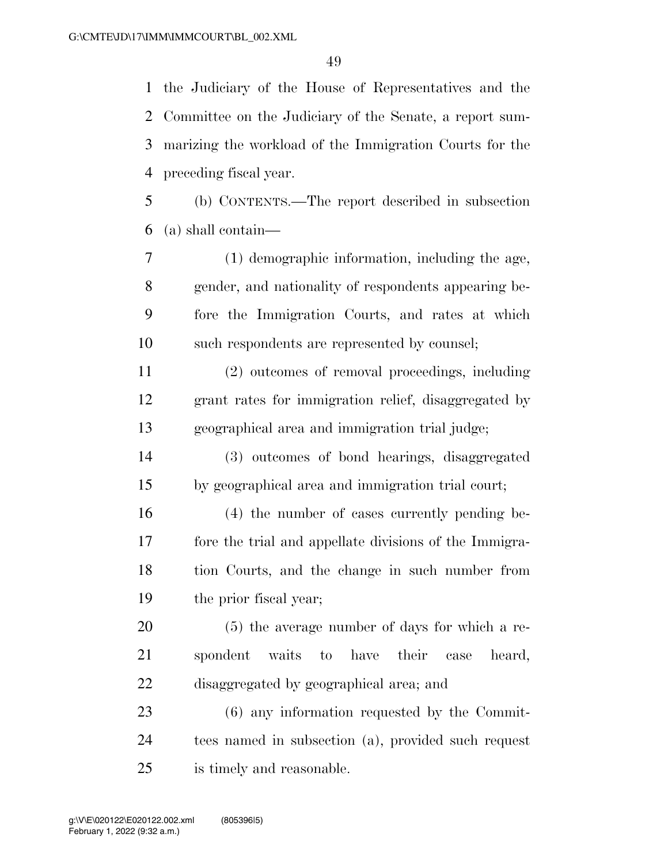the Judiciary of the House of Representatives and the Committee on the Judiciary of the Senate, a report sum- marizing the workload of the Immigration Courts for the preceding fiscal year.

 (b) CONTENTS.—The report described in subsection (a) shall contain—

 (1) demographic information, including the age, gender, and nationality of respondents appearing be- fore the Immigration Courts, and rates at which such respondents are represented by counsel;

 (2) outcomes of removal proceedings, including grant rates for immigration relief, disaggregated by geographical area and immigration trial judge;

 (3) outcomes of bond hearings, disaggregated by geographical area and immigration trial court;

 (4) the number of cases currently pending be- fore the trial and appellate divisions of the Immigra- tion Courts, and the change in such number from the prior fiscal year;

 (5) the average number of days for which a re- spondent waits to have their case heard, disaggregated by geographical area; and

 (6) any information requested by the Commit- tees named in subsection (a), provided such request is timely and reasonable.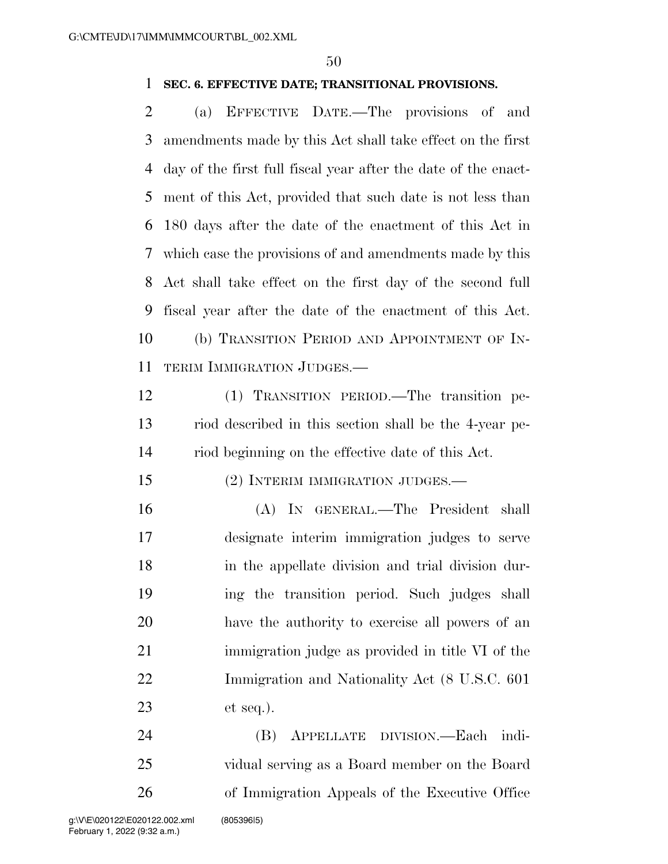### **SEC. 6. EFFECTIVE DATE; TRANSITIONAL PROVISIONS.**

 (a) EFFECTIVE DATE.—The provisions of and amendments made by this Act shall take effect on the first day of the first full fiscal year after the date of the enact- ment of this Act, provided that such date is not less than 180 days after the date of the enactment of this Act in which case the provisions of and amendments made by this Act shall take effect on the first day of the second full fiscal year after the date of the enactment of this Act. (b) TRANSITION PERIOD AND APPOINTMENT OF IN-TERIM IMMIGRATION JUDGES.—

 (1) TRANSITION PERIOD.—The transition pe- riod described in this section shall be the 4-year pe-riod beginning on the effective date of this Act.

(2) INTERIM IMMIGRATION JUDGES.—

 (A) IN GENERAL.—The President shall designate interim immigration judges to serve in the appellate division and trial division dur- ing the transition period. Such judges shall have the authority to exercise all powers of an immigration judge as provided in title VI of the Immigration and Nationality Act (8 U.S.C. 601 et seq.).

 (B) APPELLATE DIVISION.—Each indi- vidual serving as a Board member on the Board of Immigration Appeals of the Executive Office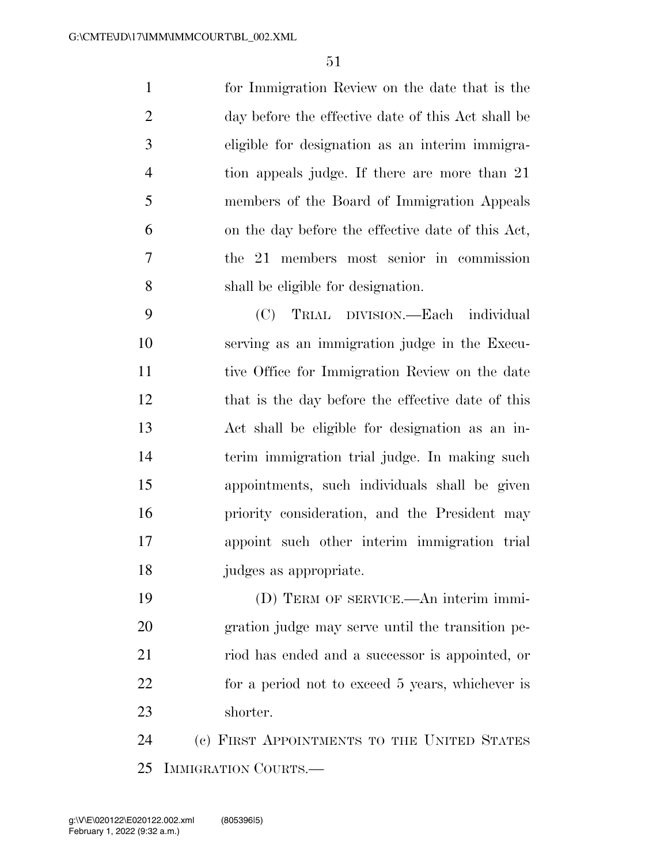for Immigration Review on the date that is the day before the effective date of this Act shall be eligible for designation as an interim immigra- tion appeals judge. If there are more than 21 members of the Board of Immigration Appeals on the day before the effective date of this Act, the 21 members most senior in commission shall be eligible for designation.

 (C) TRIAL DIVISION.—Each individual serving as an immigration judge in the Execu- tive Office for Immigration Review on the date that is the day before the effective date of this Act shall be eligible for designation as an in- terim immigration trial judge. In making such appointments, such individuals shall be given priority consideration, and the President may appoint such other interim immigration trial judges as appropriate.

 (D) TERM OF SERVICE.—An interim immi- gration judge may serve until the transition pe- riod has ended and a successor is appointed, or for a period not to exceed 5 years, whichever is shorter.

 (c) FIRST APPOINTMENTS TO THE UNITED STATES IMMIGRATION COURTS.—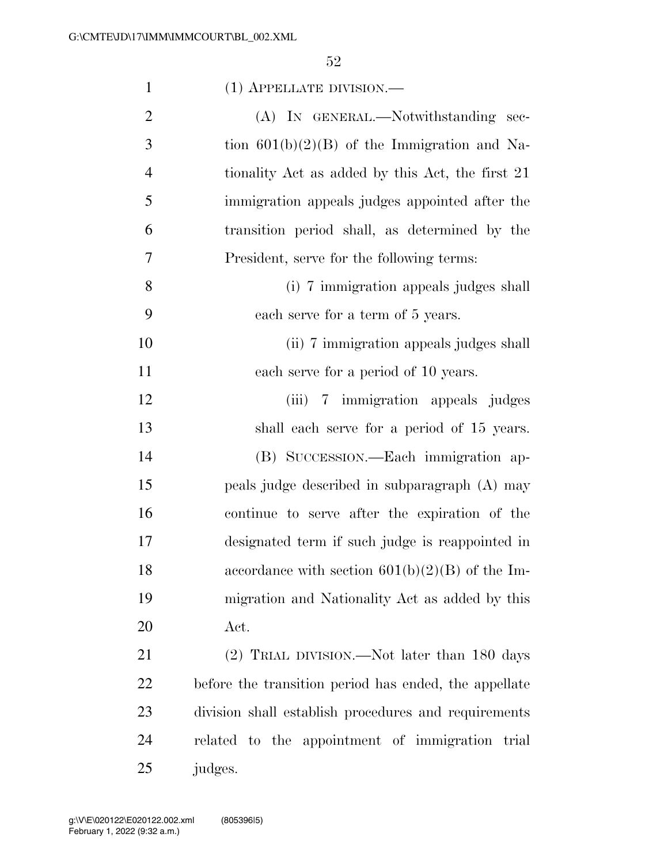| $\mathbf{1}$   | (1) APPELLATE DIVISION.—                              |
|----------------|-------------------------------------------------------|
| $\overline{2}$ | (A) IN GENERAL.—Notwithstanding sec-                  |
| 3              | tion $601(b)(2)(B)$ of the Immigration and Na-        |
| $\overline{4}$ | tionality Act as added by this Act, the first 21      |
| 5              | immigration appeals judges appointed after the        |
| 6              | transition period shall, as determined by the         |
| 7              | President, serve for the following terms:             |
| 8              | (i) 7 immigration appeals judges shall                |
| 9              | each serve for a term of 5 years.                     |
| 10             | (ii) 7 immigration appeals judges shall               |
| 11             | each serve for a period of 10 years.                  |
| 12             | (iii) 7 immigration appeals judges                    |
| 13             | shall each serve for a period of 15 years.            |
| 14             | (B) SUCCESSION.—Each immigration ap-                  |
| 15             | peals judge described in subparagraph (A) may         |
| 16             | continue to serve after the expiration of the         |
| 17             | designated term if such judge is reappointed in       |
| 18             | accordance with section $601(b)(2)(B)$ of the Im-     |
| 19             | migration and Nationality Act as added by this        |
| 20             | Act.                                                  |
| 21             | (2) TRIAL DIVISION.—Not later than 180 days           |
| 22             | before the transition period has ended, the appellate |
| 23             | division shall establish procedures and requirements  |
| 24             | related to the appointment of immigration trial       |
| 25             | judges.                                               |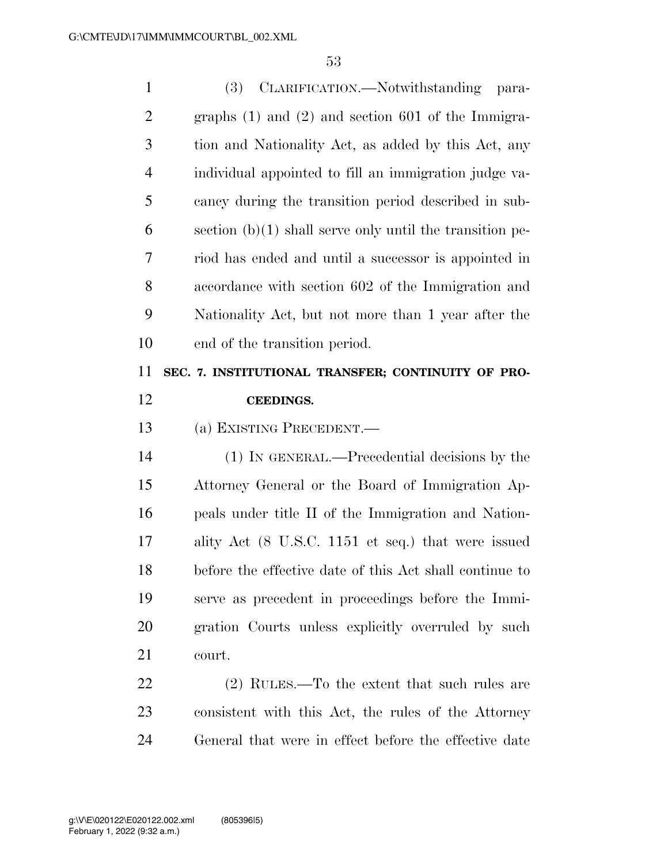| $\mathbf{1}$   | CLARIFICATION.—Notwithstanding<br><b>(3)</b><br>para-      |
|----------------|------------------------------------------------------------|
| $\overline{2}$ | graphs $(1)$ and $(2)$ and section 601 of the Immigra-     |
| 3              | tion and Nationality Act, as added by this Act, any        |
| $\overline{4}$ | individual appointed to fill an immigration judge va-      |
| 5              | cancy during the transition period described in sub-       |
| 6              | section $(b)(1)$ shall serve only until the transition pe- |
| 7              | riod has ended and until a successor is appointed in       |
| 8              | accordance with section 602 of the Immigration and         |
| 9              | Nationality Act, but not more than 1 year after the        |
| 10             | end of the transition period.                              |
| 11             | SEC. 7. INSTITUTIONAL TRANSFER; CONTINUITY OF PRO-         |
|                |                                                            |
| 12             | <b>CEEDINGS.</b>                                           |
| 13             | (a) EXISTING PRECEDENT.                                    |
| 14             | (1) IN GENERAL.—Precedential decisions by the              |
| 15             | Attorney General or the Board of Immigration Ap-           |
| 16             | peals under title II of the Immigration and Nation-        |
| 17             | ality Act (8 U.S.C. 1151 et seq.) that were issued         |
| 18             | before the effective date of this Act shall continue to    |
| 19             | serve as precedent in proceedings before the Immi-         |
| 20             | gration Courts unless explicitly overruled by such         |
| 21             | court.                                                     |
| 22             | $(2)$ RULES.—To the extent that such rules are             |
| 23             | consistent with this Act, the rules of the Attorney        |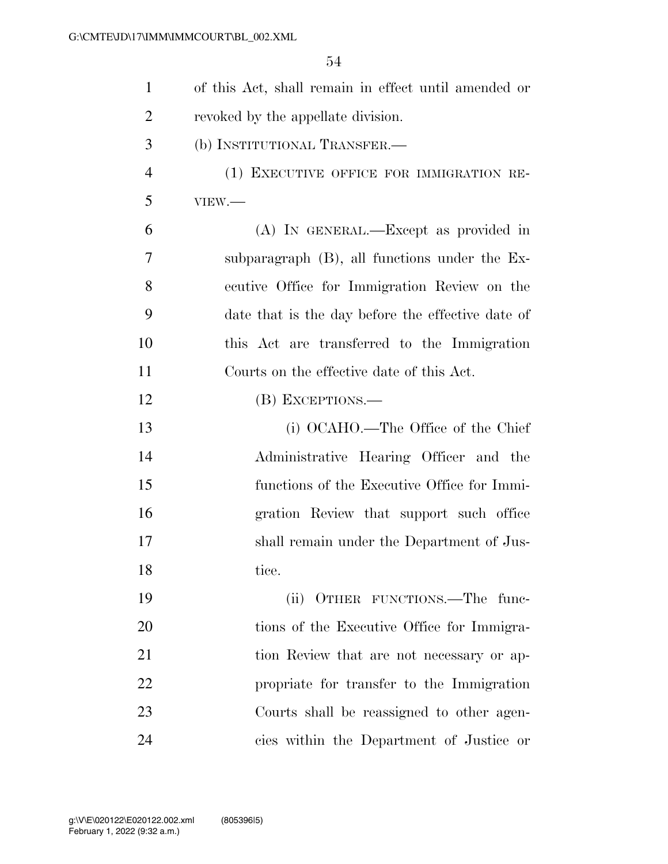| 1              | of this Act, shall remain in effect until amended or |
|----------------|------------------------------------------------------|
| $\overline{2}$ | revoked by the appellate division.                   |
| 3              | (b) INSTITUTIONAL TRANSFER.—                         |
| $\overline{4}$ | (1) EXECUTIVE OFFICE FOR IMMIGRATION RE-             |
| 5              | VIEW.                                                |
| 6              | (A) IN GENERAL.—Except as provided in                |
| 7              | subparagraph $(B)$ , all functions under the Ex-     |
| 8              | ecutive Office for Immigration Review on the         |
| 9              | date that is the day before the effective date of    |
| 10             | this Act are transferred to the Immigration          |
| 11             | Courts on the effective date of this Act.            |
| 12             | (B) EXCEPTIONS.—                                     |
| 13             | (i) OCAHO.—The Office of the Chief                   |
| 14             | Administrative Hearing Officer and the               |
| 15             | functions of the Executive Office for Immi-          |
| 16             | gration Review that support such office              |
| 17             | shall remain under the Department of Jus-            |
| 18             | tice.                                                |
| 19             | (ii) OTHER FUNCTIONS.—The func-                      |
| 20             | tions of the Executive Office for Immigra-           |
| 21             | tion Review that are not necessary or ap-            |
| 22             | propriate for transfer to the Immigration            |
| 23             | Courts shall be reassigned to other agen-            |
| 24             | cies within the Department of Justice or             |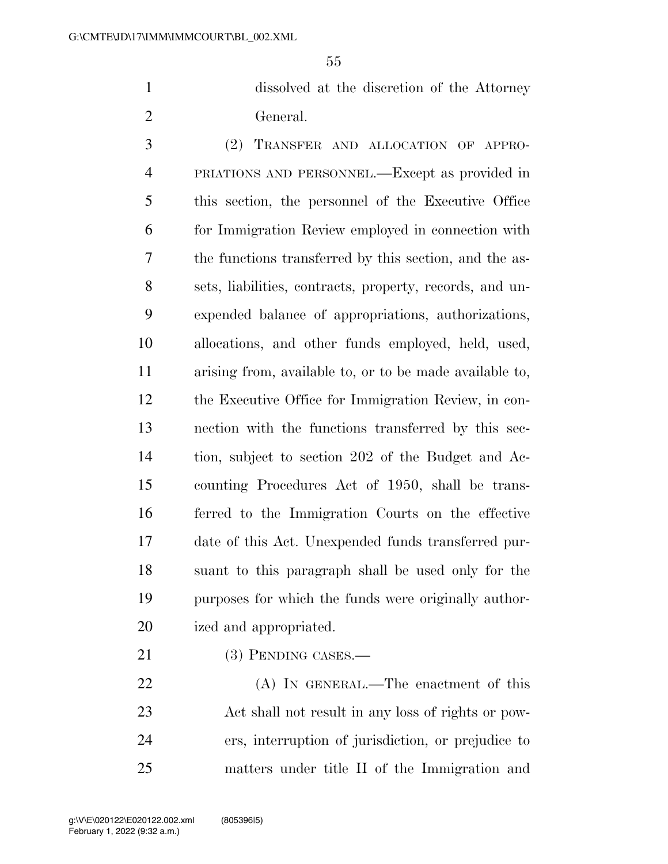dissolved at the discretion of the Attorney General.

 (2) TRANSFER AND ALLOCATION OF APPRO- PRIATIONS AND PERSONNEL.—Except as provided in this section, the personnel of the Executive Office for Immigration Review employed in connection with the functions transferred by this section, and the as- sets, liabilities, contracts, property, records, and un- expended balance of appropriations, authorizations, allocations, and other funds employed, held, used, arising from, available to, or to be made available to, the Executive Office for Immigration Review, in con- nection with the functions transferred by this sec- tion, subject to section 202 of the Budget and Ac- counting Procedures Act of 1950, shall be trans- ferred to the Immigration Courts on the effective date of this Act. Unexpended funds transferred pur- suant to this paragraph shall be used only for the purposes for which the funds were originally author-ized and appropriated.

21 (3) PENDING CASES.—

22 (A) IN GENERAL.—The enactment of this Act shall not result in any loss of rights or pow- ers, interruption of jurisdiction, or prejudice to matters under title II of the Immigration and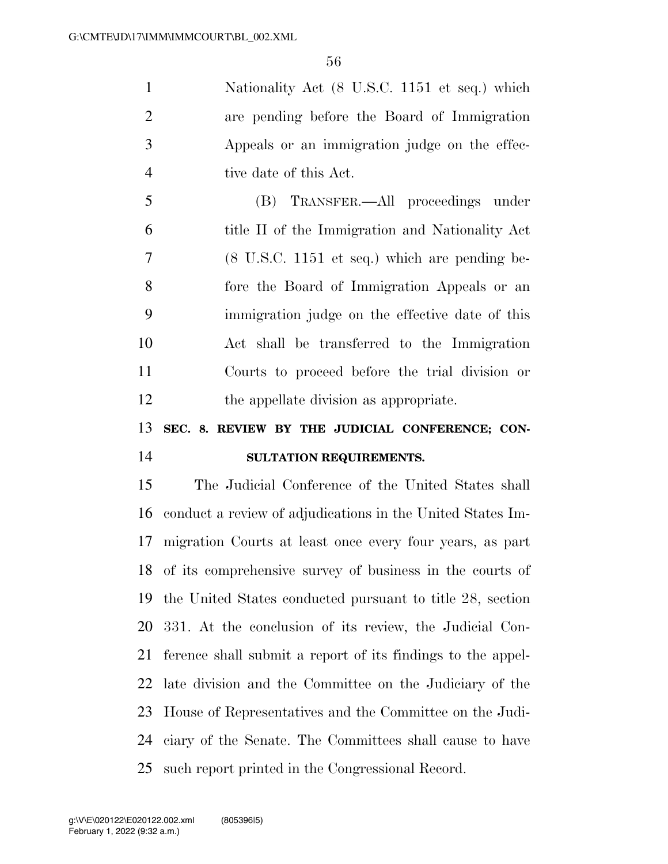Nationality Act (8 U.S.C. 1151 et seq.) which are pending before the Board of Immigration Appeals or an immigration judge on the effec-4 tive date of this Act.

 (B) TRANSFER.—All proceedings under title II of the Immigration and Nationality Act (8 U.S.C. 1151 et seq.) which are pending be- fore the Board of Immigration Appeals or an immigration judge on the effective date of this Act shall be transferred to the Immigration Courts to proceed before the trial division or the appellate division as appropriate.

## **SEC. 8. REVIEW BY THE JUDICIAL CONFERENCE; CON-SULTATION REQUIREMENTS.**

 The Judicial Conference of the United States shall conduct a review of adjudications in the United States Im- migration Courts at least once every four years, as part of its comprehensive survey of business in the courts of the United States conducted pursuant to title 28, section 331. At the conclusion of its review, the Judicial Con- ference shall submit a report of its findings to the appel- late division and the Committee on the Judiciary of the House of Representatives and the Committee on the Judi- ciary of the Senate. The Committees shall cause to have such report printed in the Congressional Record.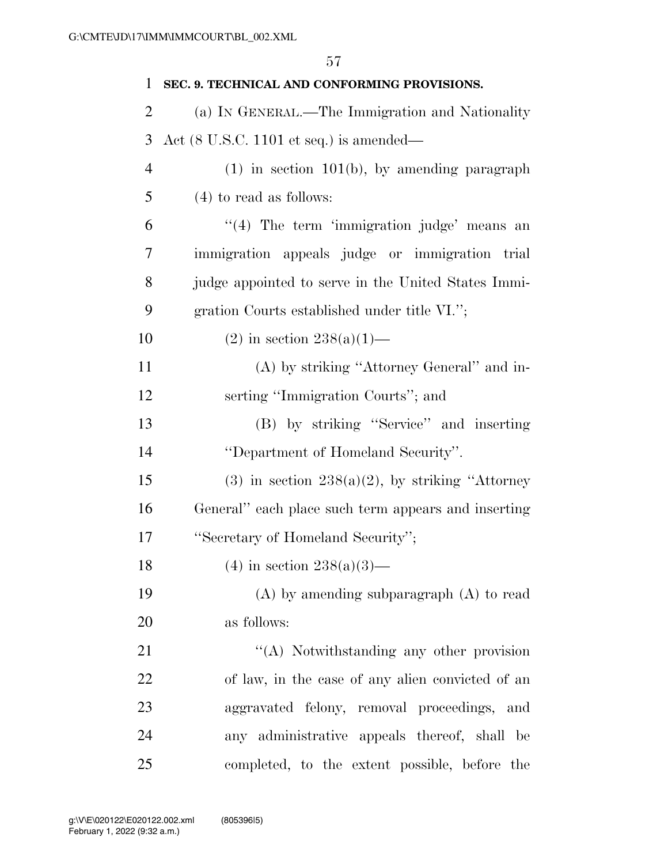| SEC. 9. TECHNICAL AND CONFORMING PROVISIONS.               |
|------------------------------------------------------------|
| (a) IN GENERAL.—The Immigration and Nationality            |
| Act $(8 \text{ U.S.C. } 1101 \text{ et seq.})$ is amended— |
| $(1)$ in section 101(b), by amending paragraph             |
| $(4)$ to read as follows:                                  |
| $\lq(4)$ The term 'immigration judge' means an             |
| immigration appeals judge or immigration trial             |
| judge appointed to serve in the United States Immi-        |
| gration Courts established under title VI.";               |
| $(2)$ in section 238(a)(1)—                                |
| (A) by striking "Attorney General" and in-                 |
| serting "Immigration Courts"; and                          |
| (B) by striking "Service" and inserting                    |
| "Department of Homeland Security".                         |
| $(3)$ in section $238(a)(2)$ , by striking "Attorney"      |
| General" each place such term appears and inserting        |
| "Secretary of Homeland Security";                          |
| $(4)$ in section 238(a)(3)—                                |
| $(A)$ by amending subparagraph $(A)$ to read               |
| as follows:                                                |
| "(A) Notwithstanding any other provision                   |
| of law, in the case of any alien convicted of an           |
| aggravated felony, removal proceedings, and                |
| any administrative appeals thereof, shall be               |
|                                                            |

completed, to the extent possible, before the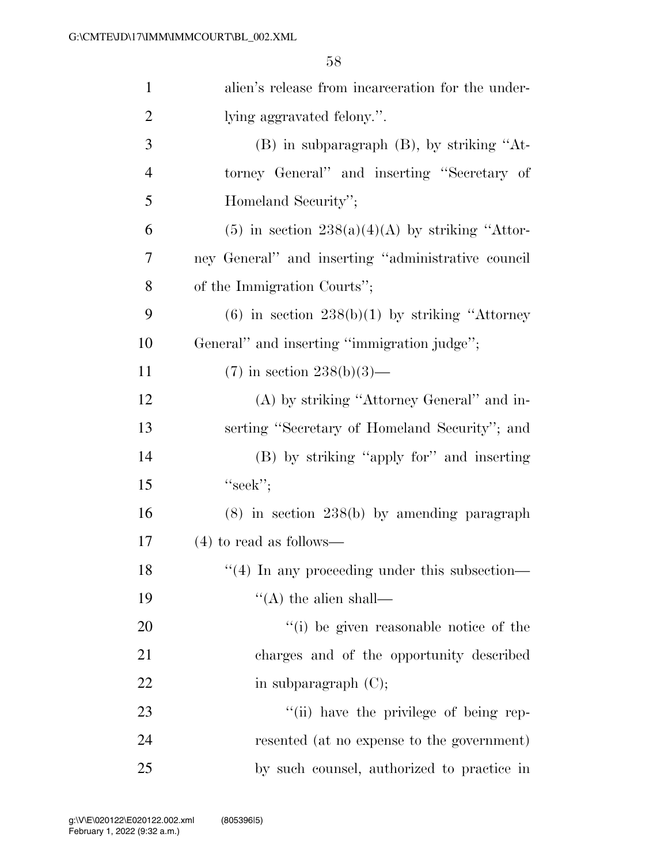| $\mathbf{1}$   | alien's release from incarceration for the under-   |
|----------------|-----------------------------------------------------|
| $\overline{2}$ | lying aggravated felony.".                          |
| 3              | $(B)$ in subparagraph $(B)$ , by striking "At-      |
| 4              | torney General" and inserting "Secretary of         |
| 5              | Homeland Security";                                 |
| 6              | (5) in section $238(a)(4)(A)$ by striking "Attor-   |
| 7              | ney General" and inserting "administrative council  |
| 8              | of the Immigration Courts";                         |
| 9              | $(6)$ in section $238(b)(1)$ by striking "Attorney" |
| 10             | General" and inserting "immigration judge";         |
| 11             | $(7)$ in section $238(b)(3)$ —                      |
| 12             | (A) by striking "Attorney General" and in-          |
| 13             | serting "Secretary of Homeland Security"; and       |
| 14             | (B) by striking "apply for" and inserting           |
| 15             | "seek";                                             |
| 16             | $(8)$ in section 238 $(b)$ by amending paragraph    |
| 17             | $(4)$ to read as follows—                           |
| 18             | $\lq(4)$ In any proceeding under this subsection—   |
| 19             | $\lq\lq$ the alien shall—                           |
| 20             | "(i) be given reasonable notice of the              |
| 21             | charges and of the opportunity described            |
| 22             | in subparagraph $(C)$ ;                             |
| 23             | "(ii) have the privilege of being rep-              |
| 24             | resented (at no expense to the government)          |
| 25             | by such counsel, authorized to practice in          |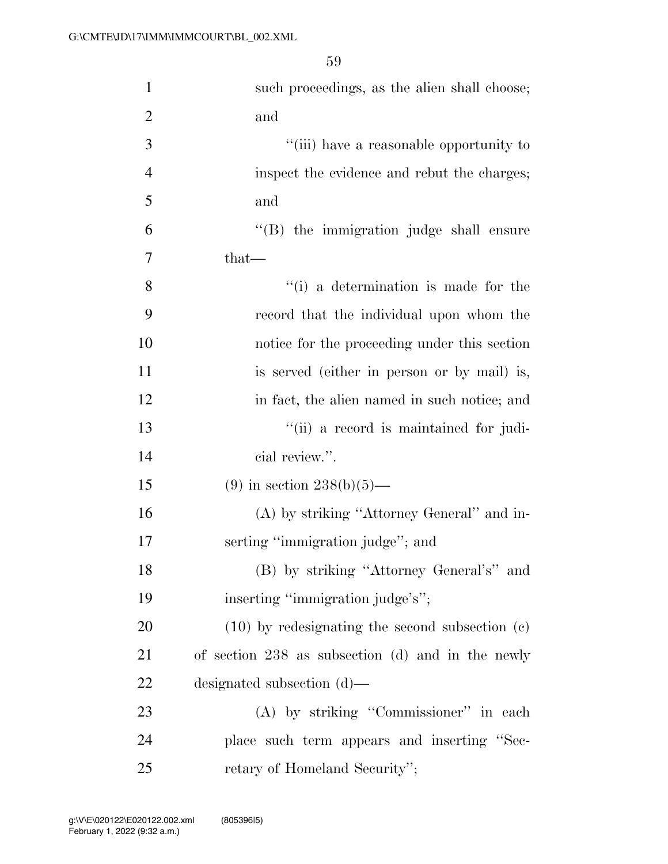| $\mathbf{1}$   | such proceedings, as the alien shall choose;        |
|----------------|-----------------------------------------------------|
| $\overline{2}$ | and                                                 |
| 3              | "(iii) have a reasonable opportunity to             |
| $\overline{4}$ | inspect the evidence and rebut the charges;         |
| 5              | and                                                 |
| 6              | "(B) the immigration judge shall ensure             |
| 7              | $that-$                                             |
| 8              | "(i) a determination is made for the                |
| 9              | record that the individual upon whom the            |
| 10             | notice for the proceeding under this section        |
| 11             | is served (either in person or by mail) is,         |
| 12             | in fact, the alien named in such notice; and        |
| 13             | "(ii) a record is maintained for judi-              |
| 14             | cial review.".                                      |
| 15             | $(9)$ in section 238(b)(5)—                         |
| 16             | (A) by striking "Attorney General" and in-          |
| 17             | serting "immigration judge"; and                    |
| 18             | (B) by striking "Attorney General's" and            |
| 19             | inserting "immigration judge's";                    |
| 20             | $(10)$ by redesignating the second subsection $(c)$ |
| 21             | of section $238$ as subsection (d) and in the newly |
| 22             | designated subsection $(d)$ —                       |
| 23             | (A) by striking "Commissioner" in each              |
| 24             | place such term appears and inserting "Sec-         |
| 25             | retary of Homeland Security";                       |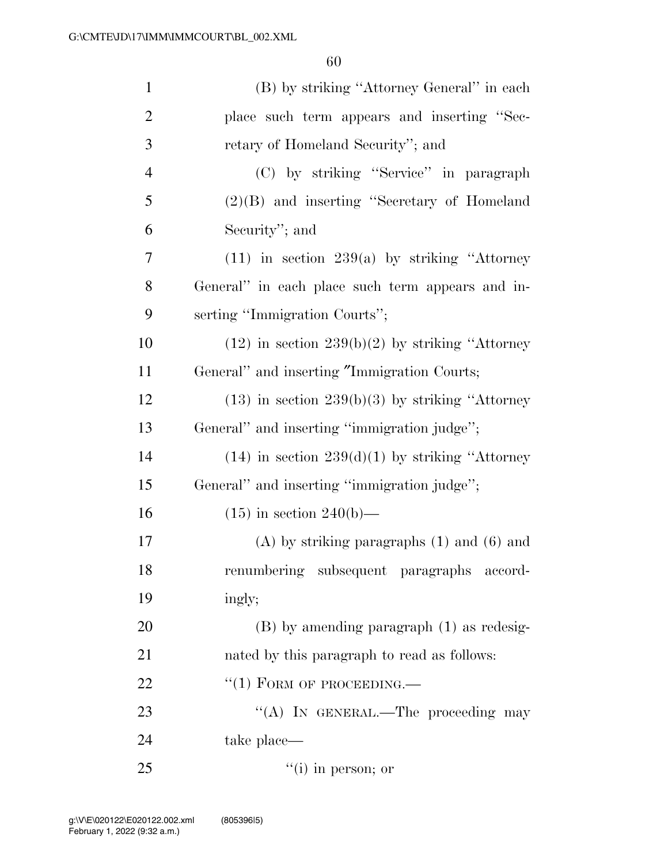| $\mathbf{1}$   | (B) by striking "Attorney General" in each           |
|----------------|------------------------------------------------------|
| $\overline{2}$ | place such term appears and inserting "Sec-          |
| 3              | retary of Homeland Security"; and                    |
| $\overline{4}$ | (C) by striking "Service" in paragraph               |
| 5              | $(2)(B)$ and inserting "Secretary of Homeland        |
| 6              | Security"; and                                       |
| 7              | $(11)$ in section 239(a) by striking "Attorney       |
| 8              | General" in each place such term appears and in-     |
| 9              | serting "Immigration Courts";                        |
| 10             | $(12)$ in section $239(b)(2)$ by striking "Attorney" |
| 11             | General" and inserting "Immigration Courts;          |
| 12             | $(13)$ in section $239(b)(3)$ by striking "Attorney  |
| 13             | General" and inserting "immigration judge";          |
| 14             | $(14)$ in section $239(d)(1)$ by striking "Attorney" |
| 15             | General" and inserting "immigration judge";          |
| 16             | $(15)$ in section 240(b)—                            |
| 17             | $(A)$ by striking paragraphs $(1)$ and $(6)$ and     |
| 18             | renumbering subsequent paragraphs accord-            |
| 19             | ingly;                                               |
| 20             | $(B)$ by amending paragraph $(1)$ as redesig-        |
| 21             | nated by this paragraph to read as follows:          |
| 22             | $``(1)$ FORM OF PROCEEDING.—                         |
| 23             | "(A) IN GENERAL.—The proceeding may                  |
| 24             | take place—                                          |
| 25             | $f'(i)$ in person; or                                |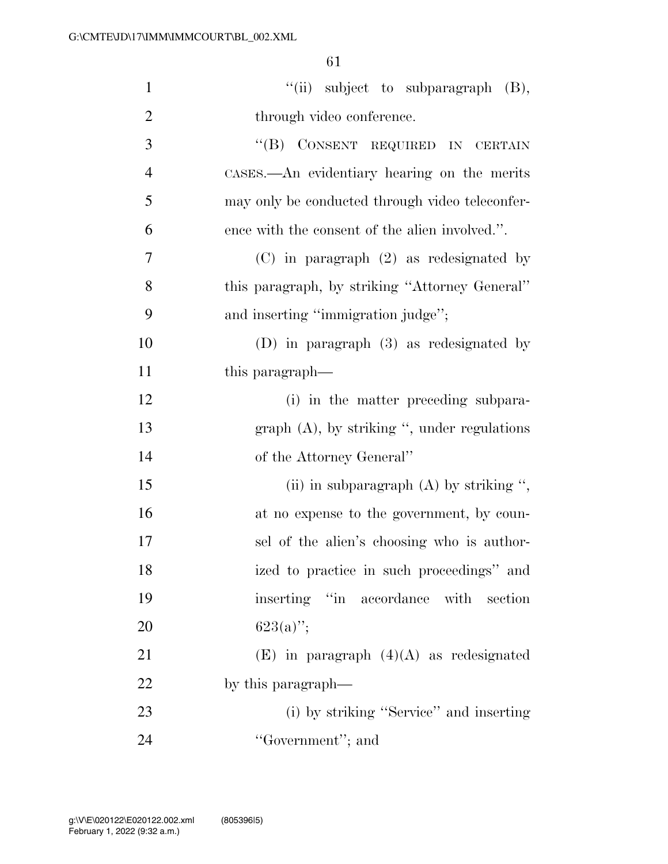| $\mathbf{1}$   | "(ii) subject to subparagraph (B),              |
|----------------|-------------------------------------------------|
| $\overline{2}$ | through video conference.                       |
| 3              | "(B) CONSENT REQUIRED IN CERTAIN                |
| $\overline{4}$ | CASES.—An evidentiary hearing on the merits     |
| 5              | may only be conducted through video teleconfer- |
| 6              | ence with the consent of the alien involved.".  |
| $\overline{7}$ | $(C)$ in paragraph $(2)$ as redesignated by     |
| 8              | this paragraph, by striking "Attorney General"  |
| 9              | and inserting "immigration judge";              |
| 10             | $(D)$ in paragraph $(3)$ as redesignated by     |
| 11             | this paragraph—                                 |
| 12             | (i) in the matter preceding subpara-            |
| 13             | graph $(A)$ , by striking ", under regulations  |
| 14             | of the Attorney General"                        |
| 15             | (ii) in subparagraph $(A)$ by striking ",       |
| 16             | at no expense to the government, by coun-       |
| 17             | sel of the alien's choosing who is author-      |
| 18             | ized to practice in such proceedings" and       |
| 19             | inserting "in<br>accordance with<br>section     |
| 20             | $623(a)$ ";                                     |
| 21             | $(E)$ in paragraph $(4)(A)$ as redesignated     |
| 22             | by this paragraph—                              |
| 23             | (i) by striking "Service" and inserting         |
| 24             | "Government"; and                               |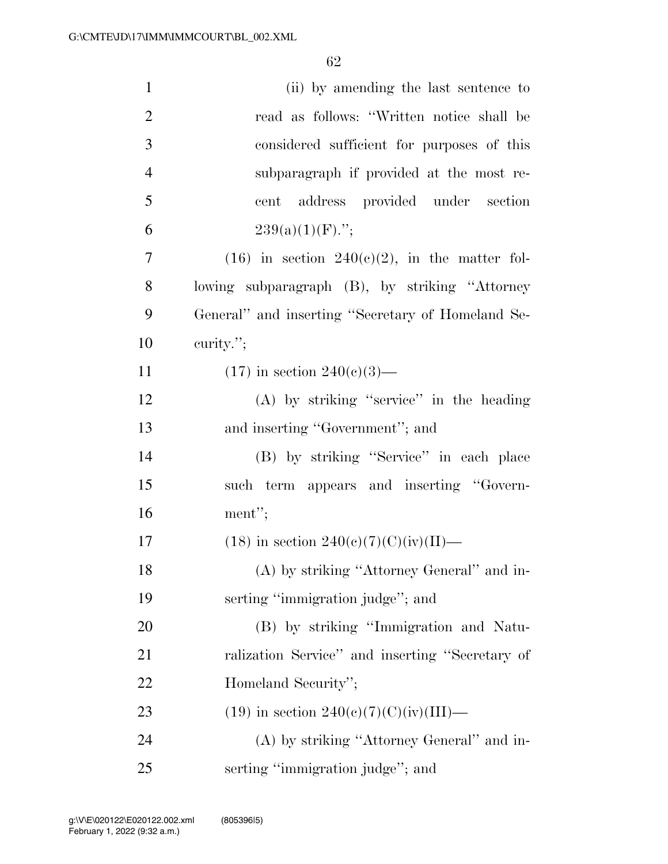| $\mathbf{1}$   | (ii) by amending the last sentence to              |
|----------------|----------------------------------------------------|
| $\overline{2}$ | read as follows: "Written notice shall be          |
| $\mathfrak{Z}$ | considered sufficient for purposes of this         |
| $\overline{4}$ | subparagraph if provided at the most re-           |
| 5              | cent address provided under section                |
| 6              | $239(a)(1)(F)$ .";                                 |
| 7              | $(16)$ in section $240(c)(2)$ , in the matter fol- |
| 8              | lowing subparagraph (B), by striking "Attorney     |
| 9              | General" and inserting "Secretary of Homeland Se-  |
| 10             | curity.";                                          |
| 11             | $(17)$ in section $240(e)(3)$ —                    |
| 12             | (A) by striking "service" in the heading           |
| 13             | and inserting "Government"; and                    |
| 14             | (B) by striking "Service" in each place            |
| 15             | such term appears and inserting "Govern-           |
| 16             | ment";                                             |
| 17             | $(18)$ in section $240(e)(7)(C)(iv)(II)$ —         |
| 18             | (A) by striking "Attorney General" and in-         |
| 19             | serting "immigration judge"; and                   |
| 20             | (B) by striking "Immigration and Natu-             |
| 21             | ralization Service" and inserting "Secretary of    |
| 22             | Homeland Security";                                |
| 23             | $(19)$ in section 240(c)(7)(C)(iv)(III)—           |
| 24             | (A) by striking "Attorney General" and in-         |
| 25             | serting "immigration judge"; and                   |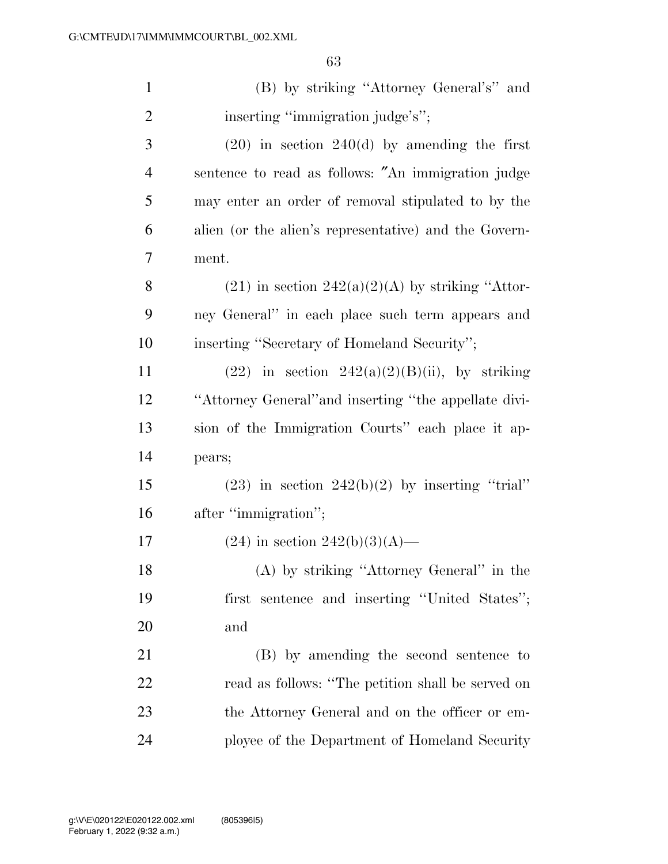| $\mathbf{1}$   | (B) by striking "Attorney General's" and              |
|----------------|-------------------------------------------------------|
| $\overline{2}$ | inserting "immigration judge's";                      |
| 3              | $(20)$ in section $240(d)$ by amending the first      |
| $\overline{4}$ | sentence to read as follows: "An immigration judge    |
| 5              | may enter an order of removal stipulated to by the    |
| 6              | alien (or the alien's representative) and the Govern- |
| 7              | ment.                                                 |
| 8              | $(21)$ in section $242(a)(2)(A)$ by striking "Attor-  |
| 9              | ney General" in each place such term appears and      |
| 10             | inserting "Secretary of Homeland Security";           |
| 11             | $(22)$ in section $242(a)(2)(B)(ii)$ , by striking    |
| 12             | "Attorney General" and inserting "the appellate divi- |
| 13             | sion of the Immigration Courts" each place it ap-     |
| 14             | pears;                                                |
| 15             | $(23)$ in section $242(b)(2)$ by inserting "trial"    |
| 16             | after "immigration";                                  |
| 17             | $(24)$ in section $242(b)(3)(A)$ —                    |
| 18             | (A) by striking "Attorney General" in the             |
| 19             | first sentence and inserting "United States";         |
| 20             | and                                                   |
| 21             | (B) by amending the second sentence to                |
| 22             | read as follows: "The petition shall be served on     |
| 23             | the Attorney General and on the officer or em-        |
| 24             | ployee of the Department of Homeland Security         |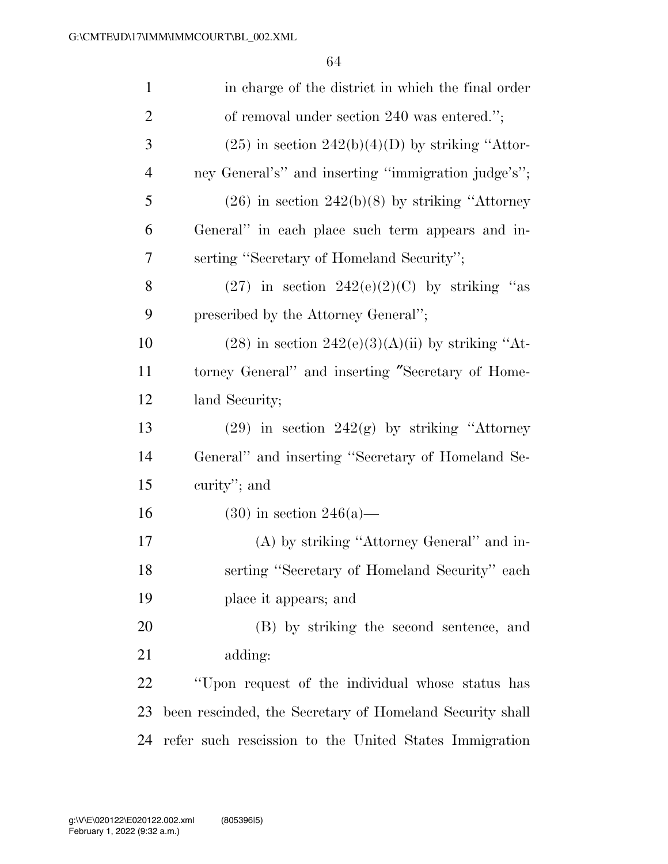| $\mathbf{1}$   | in charge of the district in which the final order       |
|----------------|----------------------------------------------------------|
| $\overline{c}$ | of removal under section 240 was entered.";              |
| 3              | $(25)$ in section $242(b)(4)(D)$ by striking "Attor-     |
| $\overline{4}$ | ney General's" and inserting "immigration judge's";      |
| 5              | $(26)$ in section $242(b)(8)$ by striking "Attorney"     |
| 6              | General" in each place such term appears and in-         |
| 7              | serting "Secretary of Homeland Security";                |
| 8              | $(27)$ in section $242(e)(2)(C)$ by striking "as         |
| 9              | prescribed by the Attorney General";                     |
| 10             | $(28)$ in section $242(e)(3)(A)(ii)$ by striking "At-    |
| 11             | torney General" and inserting "Secretary of Home-        |
| 12             | land Security;                                           |
| 13             | $(29)$ in section $242(g)$ by striking "Attorney         |
| 14             | General" and inserting "Secretary of Homeland Se-        |
| 15             | curity"; and                                             |
| 16             | $(30)$ in section 246(a)—                                |
| 17             | (A) by striking "Attorney General" and in-               |
| 18             | serting "Secretary of Homeland Security" each            |
| 19             | place it appears; and                                    |
| 20             | (B) by striking the second sentence, and                 |
| 21             | adding:                                                  |
| 22             | "Upon request of the individual whose status has         |
| 23             | been rescinded, the Secretary of Homeland Security shall |
| 24             | refer such rescission to the United States Immigration   |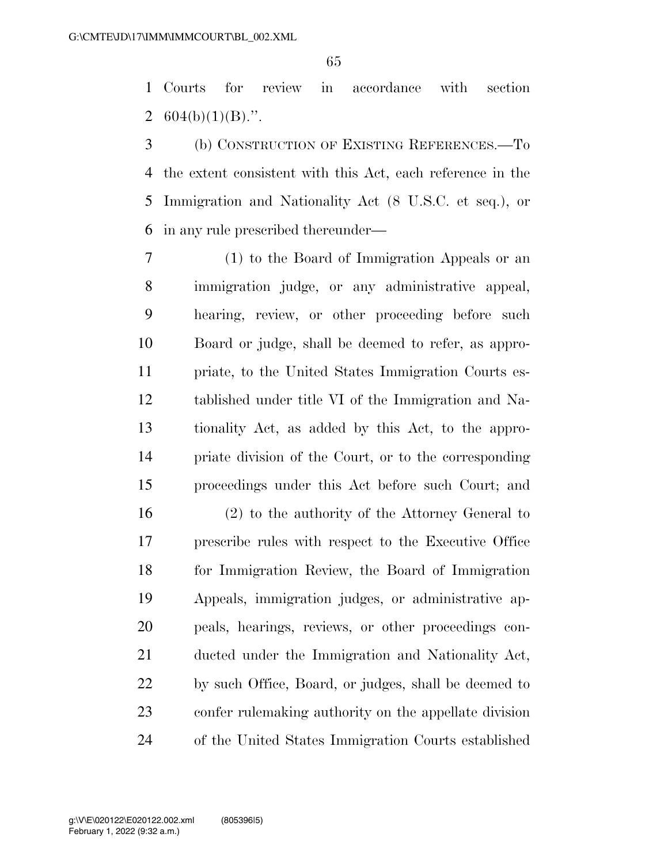Courts for review in accordance with section 2  $604(b)(1)(B)$ .".

 (b) CONSTRUCTION OF EXISTING REFERENCES.—To the extent consistent with this Act, each reference in the Immigration and Nationality Act (8 U.S.C. et seq.), or in any rule prescribed thereunder—

 (1) to the Board of Immigration Appeals or an immigration judge, or any administrative appeal, hearing, review, or other proceeding before such Board or judge, shall be deemed to refer, as appro- priate, to the United States Immigration Courts es- tablished under title VI of the Immigration and Na- tionality Act, as added by this Act, to the appro- priate division of the Court, or to the corresponding proceedings under this Act before such Court; and

 (2) to the authority of the Attorney General to prescribe rules with respect to the Executive Office for Immigration Review, the Board of Immigration Appeals, immigration judges, or administrative ap- peals, hearings, reviews, or other proceedings con- ducted under the Immigration and Nationality Act, by such Office, Board, or judges, shall be deemed to confer rulemaking authority on the appellate division of the United States Immigration Courts established